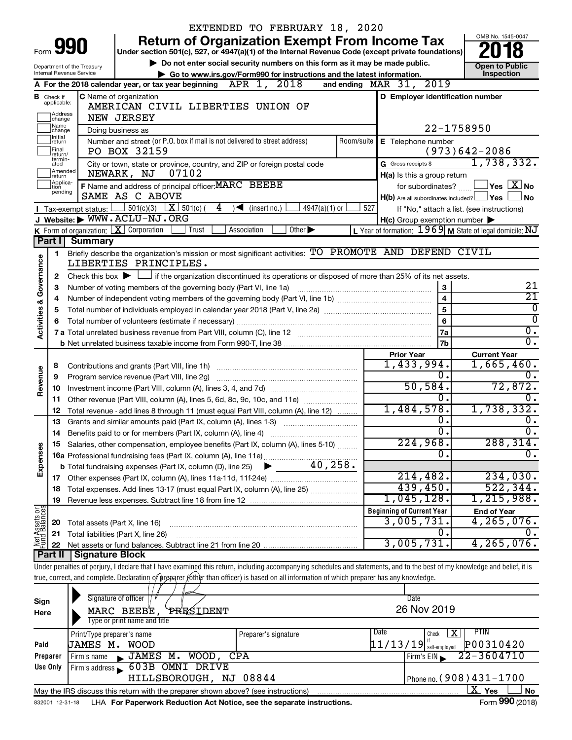|                                |                               | EXTENDED TO FEBRUARY 18, 2020                                                                                                                                                                                                                                                                                            |                             |                                                     | OMB No. 1545-0047                                         |  |  |  |  |
|--------------------------------|-------------------------------|--------------------------------------------------------------------------------------------------------------------------------------------------------------------------------------------------------------------------------------------------------------------------------------------------------------------------|-----------------------------|-----------------------------------------------------|-----------------------------------------------------------|--|--|--|--|
|                                | Form <b>YY</b>                | <b>Return of Organization Exempt From Income Tax</b><br>Under section 501(c), 527, or 4947(a)(1) of the Internal Revenue Code (except private foundations)                                                                                                                                                               |                             |                                                     |                                                           |  |  |  |  |
|                                |                               | Do not enter social security numbers on this form as it may be made public.                                                                                                                                                                                                                                              |                             |                                                     |                                                           |  |  |  |  |
|                                |                               | Department of the Treasury<br>Internal Revenue Service<br>Go to www.irs.gov/Form990 for instructions and the latest information.                                                                                                                                                                                         |                             |                                                     | <b>Open to Public</b><br>Inspection                       |  |  |  |  |
|                                |                               | A For the 2018 calendar year, or tax year beginning $APR$ 1, $2018$                                                                                                                                                                                                                                                      |                             | and ending $\n  MAR\n  31, 2019\n$                  |                                                           |  |  |  |  |
|                                | <b>B</b> Check if applicable: | <b>C</b> Name of organization                                                                                                                                                                                                                                                                                            |                             | D Employer identification number                    |                                                           |  |  |  |  |
|                                |                               | AMERICAN CIVIL LIBERTIES UNION OF                                                                                                                                                                                                                                                                                        |                             |                                                     |                                                           |  |  |  |  |
|                                | ]Address<br>]change           | NEW JERSEY                                                                                                                                                                                                                                                                                                               |                             |                                                     |                                                           |  |  |  |  |
|                                | ]Name<br>]change<br>Initial   | Doing business as                                                                                                                                                                                                                                                                                                        |                             | 22-1758950                                          |                                                           |  |  |  |  |
|                                | ]return<br>Final<br>return/   | Number and street (or P.O. box if mail is not delivered to street address)<br>PO BOX 32159                                                                                                                                                                                                                               | Room/suite                  | E Telephone number                                  | $(973)642 - 2086$                                         |  |  |  |  |
|                                | termin-<br>ated               | City or town, state or province, country, and ZIP or foreign postal code                                                                                                                                                                                                                                                 |                             | G Gross receipts \$                                 | 1,738,332.                                                |  |  |  |  |
|                                | Amended<br>Ireturn            | 07102<br>NEWARK, NJ                                                                                                                                                                                                                                                                                                      |                             | H(a) Is this a group return                         |                                                           |  |  |  |  |
|                                | Applica-<br>Ition<br>pending  | F Name and address of principal officer: MARC BEEBE                                                                                                                                                                                                                                                                      |                             | for subordinates?                                   | $\sqrt{}$ Yes $\sqrt{ \ \overline{\text{X}}}$ No          |  |  |  |  |
|                                |                               | SAME AS C ABOVE<br>4                                                                                                                                                                                                                                                                                                     |                             | $H(b)$ Are all subordinates included? $\Box$ Yes    | l No                                                      |  |  |  |  |
|                                |                               | <b>I</b> Tax-exempt status: $\Box$ 501(c)(3) $\Box$ 501(c)(<br>$4947(a)(1)$ or<br>$\sqrt{\frac{1}{1}}$ (insert no.)<br>J Website: WWW.ACLU-NJ.ORG                                                                                                                                                                        | 527                         | $H(c)$ Group exemption number $\blacktriangleright$ | If "No," attach a list. (see instructions)                |  |  |  |  |
|                                |                               | <b>K</b> Form of organization: $\boxed{\mathbf{X}}$ Corporation<br>Other $\blacktriangleright$<br>Association<br>Trust                                                                                                                                                                                                   |                             |                                                     | L Year of formation: $1969$ M State of legal domicile: NJ |  |  |  |  |
|                                | Part I                        | <b>Summary</b>                                                                                                                                                                                                                                                                                                           |                             |                                                     |                                                           |  |  |  |  |
|                                | 1                             | Briefly describe the organization's mission or most significant activities: TO PROMOTE AND DEFEND CIVIL                                                                                                                                                                                                                  |                             |                                                     |                                                           |  |  |  |  |
| Governance                     |                               | LIBERTIES PRINCIPLES.                                                                                                                                                                                                                                                                                                    |                             |                                                     |                                                           |  |  |  |  |
|                                | 2                             | Check this box $\blacktriangleright$ $\Box$ if the organization discontinued its operations or disposed of more than 25% of its net assets.                                                                                                                                                                              |                             |                                                     |                                                           |  |  |  |  |
|                                | 3                             | Number of voting members of the governing body (Part VI, line 1a) [11] manufactured in the set of voting members of the governing body (Part VI, line 1a)                                                                                                                                                                |                             | 3                                                   | 21                                                        |  |  |  |  |
|                                | 4                             |                                                                                                                                                                                                                                                                                                                          |                             | $\overline{\mathbf{4}}$                             | $\overline{21}$                                           |  |  |  |  |
| <b>Activities &amp;</b>        | 5                             |                                                                                                                                                                                                                                                                                                                          |                             | 5                                                   | 0<br>$\overline{0}$                                       |  |  |  |  |
|                                | 6                             |                                                                                                                                                                                                                                                                                                                          |                             | 6                                                   | $\overline{0}$ .                                          |  |  |  |  |
|                                |                               |                                                                                                                                                                                                                                                                                                                          |                             | 7a<br>7b                                            | σ.                                                        |  |  |  |  |
|                                |                               |                                                                                                                                                                                                                                                                                                                          |                             | <b>Prior Year</b>                                   | <b>Current Year</b>                                       |  |  |  |  |
|                                | 8                             |                                                                                                                                                                                                                                                                                                                          |                             | 1,433,994.                                          | $1,665,460$ .                                             |  |  |  |  |
| Revenue                        | 9                             |                                                                                                                                                                                                                                                                                                                          |                             | 0.                                                  | 0.                                                        |  |  |  |  |
|                                | 10                            |                                                                                                                                                                                                                                                                                                                          |                             | 50, 584.                                            | 72,872.                                                   |  |  |  |  |
|                                | 11                            | Other revenue (Part VIII, column (A), lines 5, 6d, 8c, 9c, 10c, and 11e)                                                                                                                                                                                                                                                 |                             | $\overline{0}$ .                                    | 0.                                                        |  |  |  |  |
|                                | 12                            | Total revenue - add lines 8 through 11 (must equal Part VIII, column (A), line 12)                                                                                                                                                                                                                                       |                             | 1,484,578.                                          | 1,738,332.                                                |  |  |  |  |
|                                | 13                            | Grants and similar amounts paid (Part IX, column (A), lines 1-3)                                                                                                                                                                                                                                                         |                             | $\overline{0}$ .                                    | Ο.                                                        |  |  |  |  |
|                                | 14                            | Benefits paid to or for members (Part IX, column (A), line 4)                                                                                                                                                                                                                                                            |                             | $\overline{0}$ .                                    | $\overline{0}$ .                                          |  |  |  |  |
|                                |                               | 15 Salaries, other compensation, employee benefits (Part IX, column (A), lines 5-10)                                                                                                                                                                                                                                     |                             | 224,968.<br>$\Omega$ .                              | 288, 314.<br>0.                                           |  |  |  |  |
| Expenses                       |                               | 40, 258.                                                                                                                                                                                                                                                                                                                 |                             |                                                     |                                                           |  |  |  |  |
|                                |                               | <b>b</b> Total fundraising expenses (Part IX, column (D), line 25)                                                                                                                                                                                                                                                       |                             | 214,482.                                            | 234,030.                                                  |  |  |  |  |
|                                | 18                            | Total expenses. Add lines 13-17 (must equal Part IX, column (A), line 25)                                                                                                                                                                                                                                                |                             | 439,450.                                            | 522, 344.                                                 |  |  |  |  |
|                                | 19                            |                                                                                                                                                                                                                                                                                                                          |                             | $1,045,128$ .                                       | 1,215,988.                                                |  |  |  |  |
|                                |                               |                                                                                                                                                                                                                                                                                                                          |                             | <b>Beginning of Current Year</b>                    | <b>End of Year</b>                                        |  |  |  |  |
| Net Assets or<br>Fund Balances | 20                            | Total assets (Part X, line 16)                                                                                                                                                                                                                                                                                           |                             | 3,005,731.                                          | 4, 265, 076.                                              |  |  |  |  |
|                                | 21                            | Total liabilities (Part X, line 26)                                                                                                                                                                                                                                                                                      |                             | 0.                                                  | Ο,                                                        |  |  |  |  |
|                                | 22                            |                                                                                                                                                                                                                                                                                                                          |                             | 3,005,731.                                          | 4, 265, 076.                                              |  |  |  |  |
|                                | Part II                       | <b>Signature Block</b>                                                                                                                                                                                                                                                                                                   |                             |                                                     |                                                           |  |  |  |  |
|                                |                               | Under penalties of perjury, I declare that I have examined this return, including accompanying schedules and statements, and to the best of my knowledge and belief, it is<br>true, correct, and complete. Declaration of preparer (other than officer) is based on all information of which preparer has any knowledge. |                             |                                                     |                                                           |  |  |  |  |
|                                |                               |                                                                                                                                                                                                                                                                                                                          |                             |                                                     |                                                           |  |  |  |  |
| Sign                           |                               | Signature of officer                                                                                                                                                                                                                                                                                                     |                             | Date                                                |                                                           |  |  |  |  |
| Here                           |                               | MARC BEEBE,<br>PRESIDENT                                                                                                                                                                                                                                                                                                 |                             | 26 Nov 2019                                         |                                                           |  |  |  |  |
|                                |                               | Type or print name and title                                                                                                                                                                                                                                                                                             |                             |                                                     |                                                           |  |  |  |  |
|                                |                               | Print/Type preparer's name<br>Preparer's signature                                                                                                                                                                                                                                                                       |                             | Date<br>Check                                       | PTIN<br>$\mathbf{X}$                                      |  |  |  |  |
| Paid                           |                               | JAMES M. WOOD                                                                                                                                                                                                                                                                                                            | $11/13/19$ if self-employed | P00310420                                           |                                                           |  |  |  |  |
|                                | Preparer                      | ,JAMES M. WOOD, CPA<br>Firm's name                                                                                                                                                                                                                                                                                       |                             | Firm's EIN                                          | $22 - 3604710$                                            |  |  |  |  |
|                                | Use Only                      | 603B OMNI DRIVE<br>Firm's address                                                                                                                                                                                                                                                                                        |                             |                                                     |                                                           |  |  |  |  |
|                                |                               | HILLSBOROUGH, NJ 08844                                                                                                                                                                                                                                                                                                   |                             |                                                     | Phone no. (908) 431-1700                                  |  |  |  |  |
|                                |                               | May the IRS discuss this return with the preparer shown above? (see instructions)                                                                                                                                                                                                                                        |                             |                                                     | $\overline{X}$ Yes<br>No<br>Form 990 (2018)               |  |  |  |  |
|                                | 832001 12-31-18               | LHA For Paperwork Reduction Act Notice, see the separate instructions.                                                                                                                                                                                                                                                   |                             |                                                     |                                                           |  |  |  |  |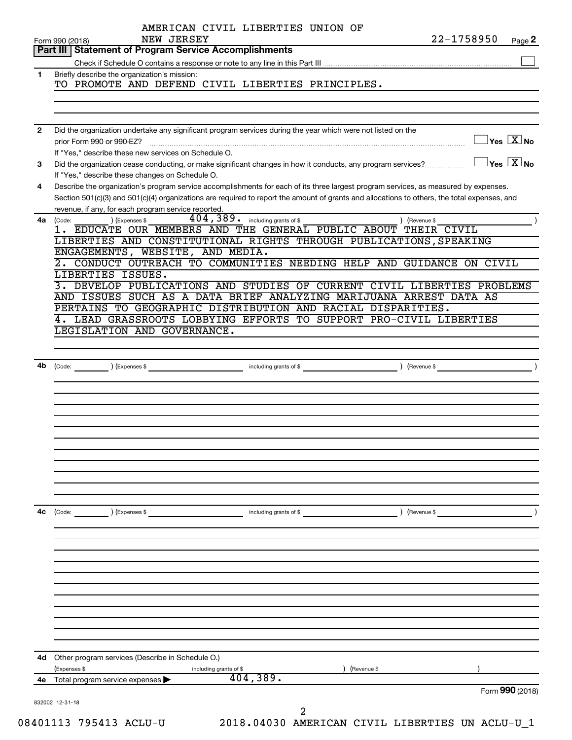|              | AMERICAN CIVIL LIBERTIES UNION OF<br>22-1758950<br>NEW JERSEY                                                                                                                                                                                                                                                                           |
|--------------|-----------------------------------------------------------------------------------------------------------------------------------------------------------------------------------------------------------------------------------------------------------------------------------------------------------------------------------------|
|              | Form 990 (2018)<br>Page 2<br>Part III   Statement of Program Service Accomplishments                                                                                                                                                                                                                                                    |
|              |                                                                                                                                                                                                                                                                                                                                         |
| 1.           | Briefly describe the organization's mission:<br>TO PROMOTE AND DEFEND CIVIL LIBERTIES PRINCIPLES.                                                                                                                                                                                                                                       |
|              |                                                                                                                                                                                                                                                                                                                                         |
| $\mathbf{2}$ | Did the organization undertake any significant program services during the year which were not listed on the<br>$\sqrt{\mathsf{Yes}\ \mathbf{X}}$ No<br>prior Form 990 or 990-EZ?                                                                                                                                                       |
| 3            | If "Yes," describe these new services on Schedule O.<br>$ {\mathsf Y}{\mathsf e}{\mathsf s} \ \overline{{\mathsf X}}$ No<br>Did the organization cease conducting, or make significant changes in how it conducts, any program services?                                                                                                |
| 4            | If "Yes," describe these changes on Schedule O.<br>Describe the organization's program service accomplishments for each of its three largest program services, as measured by expenses.<br>Section 501(c)(3) and 501(c)(4) organizations are required to report the amount of grants and allocations to others, the total expenses, and |
|              | revenue, if any, for each program service reported.                                                                                                                                                                                                                                                                                     |
| 4a           | 404, 389. including grants of \$<br>(Code:<br>(Expenses \$<br>) (Revenue \$<br>1. EDUCATE OUR MEMBERS AND THE GENERAL PUBLIC ABOUT THEIR CIVIL<br>LIBERTIES AND CONSTITUTIONAL RIGHTS THROUGH PUBLICATIONS, SPEAKING<br>ENGAGEMENTS, WEBSITE, AND MEDIA.<br>2. CONDUCT OUTREACH TO COMMUNITIES NEEDING HELP AND GUIDANCE ON CIVIL       |
|              | LIBERTIES ISSUES.<br>3. DEVELOP PUBLICATIONS AND STUDIES OF CURRENT CIVIL LIBERTIES PROBLEMS<br>AND ISSUES SUCH AS A DATA BRIEF ANALYZING MARIJUANA ARREST DATA AS<br>PERTAINS TO GEOGRAPHIC DISTRIBUTION AND RACIAL DISPARITIES.<br>4. LEAD GRASSROOTS LOBBYING EFFORTS TO SUPPORT PRO-CIVIL LIBERTIES<br>LEGISLATION AND GOVERNANCE.  |
|              | including grants of \$<br>(Expenses \$<br>Revenue \$                                                                                                                                                                                                                                                                                    |
|              |                                                                                                                                                                                                                                                                                                                                         |
|              |                                                                                                                                                                                                                                                                                                                                         |
|              |                                                                                                                                                                                                                                                                                                                                         |
| 4c           | including grants of \$<br>) (Revenue \$<br>(Code:<br>) (Expenses \$                                                                                                                                                                                                                                                                     |
|              |                                                                                                                                                                                                                                                                                                                                         |
|              |                                                                                                                                                                                                                                                                                                                                         |
|              |                                                                                                                                                                                                                                                                                                                                         |
|              |                                                                                                                                                                                                                                                                                                                                         |
| 4d           | Other program services (Describe in Schedule O.)                                                                                                                                                                                                                                                                                        |
| 4е           | (Expenses \$<br>including grants of \$<br>(Revenue \$<br>404,389.<br>Total program service expenses                                                                                                                                                                                                                                     |
|              | Form 990 (2018)<br>832002 12-31-18<br>2                                                                                                                                                                                                                                                                                                 |

08401113 795413 ACLU-U 2018.04030 AMERICAN CIVIL LIBERTIES UN ACLU-U\_1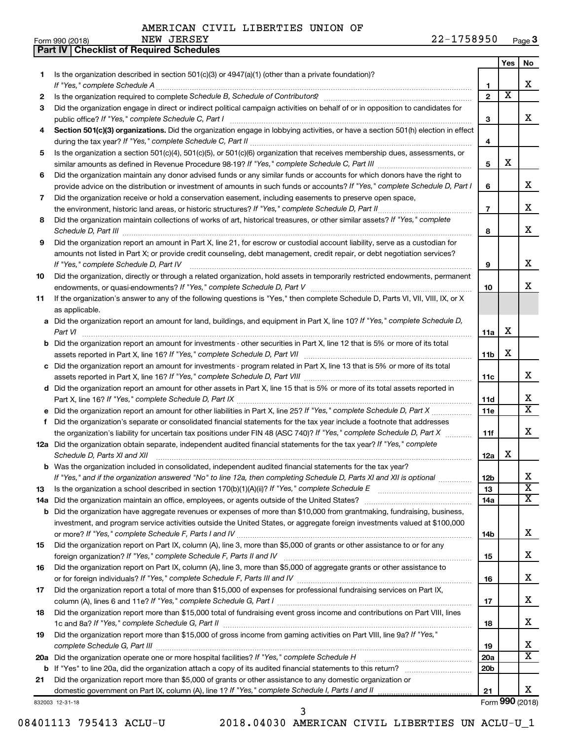**Part IV Checklist of Required Schedules**

|     |                                                                                                                                                                                                                                           |                 | Yes | No                           |
|-----|-------------------------------------------------------------------------------------------------------------------------------------------------------------------------------------------------------------------------------------------|-----------------|-----|------------------------------|
| 1.  | Is the organization described in section 501(c)(3) or 4947(a)(1) (other than a private foundation)?                                                                                                                                       |                 |     |                              |
|     |                                                                                                                                                                                                                                           | 1               |     | x                            |
| 2   |                                                                                                                                                                                                                                           | $\overline{2}$  | х   |                              |
| 3   | Did the organization engage in direct or indirect political campaign activities on behalf of or in opposition to candidates for                                                                                                           |                 |     | x                            |
|     | public office? If "Yes," complete Schedule C, Part I                                                                                                                                                                                      | 3               |     |                              |
| 4   | Section 501(c)(3) organizations. Did the organization engage in lobbying activities, or have a section 501(h) election in effect                                                                                                          |                 |     |                              |
|     |                                                                                                                                                                                                                                           | 4               |     |                              |
| 5   | Is the organization a section 501(c)(4), 501(c)(5), or 501(c)(6) organization that receives membership dues, assessments, or                                                                                                              | 5               | х   |                              |
|     |                                                                                                                                                                                                                                           |                 |     |                              |
| 6   | Did the organization maintain any donor advised funds or any similar funds or accounts for which donors have the right to                                                                                                                 | 6               |     | x.                           |
| 7   | provide advice on the distribution or investment of amounts in such funds or accounts? If "Yes," complete Schedule D, Part I<br>Did the organization receive or hold a conservation easement, including easements to preserve open space, |                 |     |                              |
|     |                                                                                                                                                                                                                                           | $\overline{7}$  |     | х                            |
| 8   | Did the organization maintain collections of works of art, historical treasures, or other similar assets? If "Yes," complete                                                                                                              |                 |     |                              |
|     |                                                                                                                                                                                                                                           | 8               |     | х                            |
| 9   | Did the organization report an amount in Part X, line 21, for escrow or custodial account liability, serve as a custodian for                                                                                                             |                 |     |                              |
|     | amounts not listed in Part X; or provide credit counseling, debt management, credit repair, or debt negotiation services?                                                                                                                 |                 |     |                              |
|     | If "Yes," complete Schedule D, Part IV                                                                                                                                                                                                    | 9               |     | x                            |
| 10  | Did the organization, directly or through a related organization, hold assets in temporarily restricted endowments, permanent                                                                                                             |                 |     |                              |
|     |                                                                                                                                                                                                                                           | 10              |     | x                            |
| 11  | If the organization's answer to any of the following questions is "Yes," then complete Schedule D, Parts VI, VII, VIII, IX, or X                                                                                                          |                 |     |                              |
|     | as applicable.                                                                                                                                                                                                                            |                 |     |                              |
|     | a Did the organization report an amount for land, buildings, and equipment in Part X, line 10? If "Yes," complete Schedule D,                                                                                                             |                 |     |                              |
|     |                                                                                                                                                                                                                                           | 11a             | х   |                              |
|     | <b>b</b> Did the organization report an amount for investments - other securities in Part X, line 12 that is 5% or more of its total                                                                                                      |                 |     |                              |
|     |                                                                                                                                                                                                                                           | 11b             | х   |                              |
|     | c Did the organization report an amount for investments - program related in Part X, line 13 that is 5% or more of its total                                                                                                              |                 |     |                              |
|     |                                                                                                                                                                                                                                           | 11c             |     | x                            |
|     | d Did the organization report an amount for other assets in Part X, line 15 that is 5% or more of its total assets reported in                                                                                                            |                 |     |                              |
|     |                                                                                                                                                                                                                                           | 11d             |     | х                            |
|     |                                                                                                                                                                                                                                           | 11e             |     | $\overline{\mathbf{X}}$      |
| f.  | Did the organization's separate or consolidated financial statements for the tax year include a footnote that addresses                                                                                                                   |                 |     |                              |
|     | the organization's liability for uncertain tax positions under FIN 48 (ASC 740)? If "Yes," complete Schedule D, Part X                                                                                                                    | 11f             |     | x                            |
|     | 12a Did the organization obtain separate, independent audited financial statements for the tax year? If "Yes," complete                                                                                                                   |                 |     |                              |
|     | Schedule D, Parts XI and XII                                                                                                                                                                                                              | 12a             | x   |                              |
|     | <b>b</b> Was the organization included in consolidated, independent audited financial statements for the tax year?                                                                                                                        |                 |     |                              |
|     | If "Yes," and if the organization answered "No" to line 12a, then completing Schedule D, Parts XI and XII is optional                                                                                                                     | 12 <sub>b</sub> |     | Χ                            |
| 13  |                                                                                                                                                                                                                                           | 13              |     | $\overline{\mathbf{X}}$      |
| 14a |                                                                                                                                                                                                                                           | 14a             |     | X.                           |
|     | <b>b</b> Did the organization have aggregate revenues or expenses of more than \$10,000 from grantmaking, fundraising, business,                                                                                                          |                 |     |                              |
|     | investment, and program service activities outside the United States, or aggregate foreign investments valued at \$100,000                                                                                                                |                 |     |                              |
|     |                                                                                                                                                                                                                                           | 14b             |     | x                            |
| 15  | Did the organization report on Part IX, column (A), line 3, more than \$5,000 of grants or other assistance to or for any                                                                                                                 |                 |     |                              |
|     |                                                                                                                                                                                                                                           | 15              |     | x                            |
| 16  | Did the organization report on Part IX, column (A), line 3, more than \$5,000 of aggregate grants or other assistance to                                                                                                                  |                 |     |                              |
|     |                                                                                                                                                                                                                                           | 16              |     | х                            |
| 17  | Did the organization report a total of more than \$15,000 of expenses for professional fundraising services on Part IX,                                                                                                                   |                 |     |                              |
|     |                                                                                                                                                                                                                                           | 17              |     | х                            |
| 18  | Did the organization report more than \$15,000 total of fundraising event gross income and contributions on Part VIII, lines                                                                                                              |                 |     |                              |
|     |                                                                                                                                                                                                                                           | 18              |     | х                            |
| 19  | Did the organization report more than \$15,000 of gross income from gaming activities on Part VIII, line 9a? If "Yes,"                                                                                                                    |                 |     |                              |
|     |                                                                                                                                                                                                                                           | 19              |     | х<br>$\overline{\mathtt{x}}$ |
|     | 20a Did the organization operate one or more hospital facilities? If "Yes," complete Schedule H                                                                                                                                           | 20a             |     |                              |
| b   |                                                                                                                                                                                                                                           | 20 <sub>b</sub> |     |                              |
| 21  | Did the organization report more than \$5,000 of grants or other assistance to any domestic organization or                                                                                                                               | 21              |     | x.                           |
|     | 832003 12-31-18                                                                                                                                                                                                                           |                 |     | Form 990 (2018)              |
|     |                                                                                                                                                                                                                                           |                 |     |                              |

08401113 795413 ACLU-U 2018.04030 AMERICAN CIVIL LIBERTIES UN ACLU-U\_1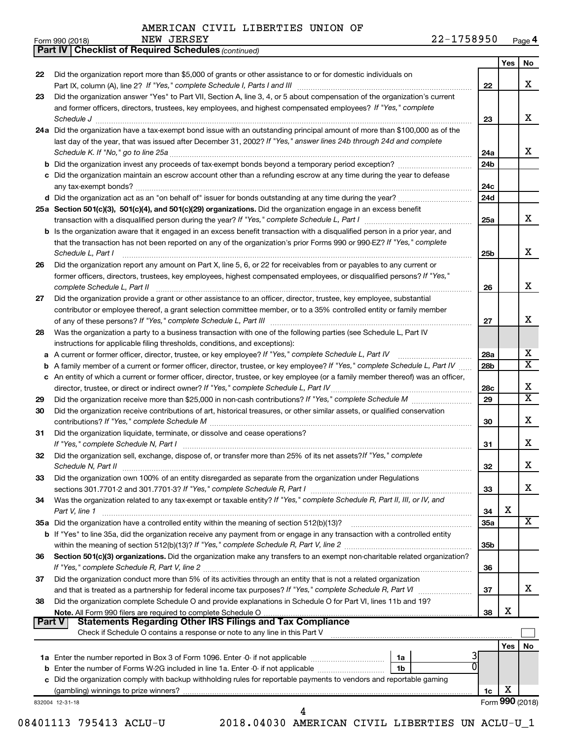*(continued)*

**Part IV Checklist of Required Schedules**

| Form 990 (2018) | NEW | <b>JERSEY</b> | 1 7 5 0 0 5 0<br>ົ<br>,950<br>. O. | ∩המ<br>aue' |
|-----------------|-----|---------------|------------------------------------|-------------|
|-----------------|-----|---------------|------------------------------------|-------------|

|               |                                                                                                                                                                                             |                        | Yes | <b>No</b>               |
|---------------|---------------------------------------------------------------------------------------------------------------------------------------------------------------------------------------------|------------------------|-----|-------------------------|
| 22            | Did the organization report more than \$5,000 of grants or other assistance to or for domestic individuals on                                                                               |                        |     |                         |
|               |                                                                                                                                                                                             | 22                     |     | x                       |
| 23            | Did the organization answer "Yes" to Part VII, Section A, line 3, 4, or 5 about compensation of the organization's current                                                                  |                        |     |                         |
|               | and former officers, directors, trustees, key employees, and highest compensated employees? If "Yes," complete                                                                              |                        |     | x                       |
|               | Schedule J                                                                                                                                                                                  | 23                     |     |                         |
|               | 24a Did the organization have a tax-exempt bond issue with an outstanding principal amount of more than \$100,000 as of the                                                                 |                        |     |                         |
|               | last day of the year, that was issued after December 31, 2002? If "Yes," answer lines 24b through 24d and complete                                                                          |                        |     | x                       |
|               |                                                                                                                                                                                             | 24a<br>24 <sub>b</sub> |     |                         |
|               | c Did the organization maintain an escrow account other than a refunding escrow at any time during the year to defease                                                                      |                        |     |                         |
|               |                                                                                                                                                                                             | 24c                    |     |                         |
|               |                                                                                                                                                                                             | 24d                    |     |                         |
|               | 25a Section 501(c)(3), 501(c)(4), and 501(c)(29) organizations. Did the organization engage in an excess benefit                                                                            |                        |     |                         |
|               | transaction with a disqualified person during the year? If "Yes," complete Schedule L, Part I manufaction with a disqualified person during the year? If "Yes," complete Schedule L, Part I | 25a                    |     | х                       |
|               | b Is the organization aware that it engaged in an excess benefit transaction with a disqualified person in a prior year, and                                                                |                        |     |                         |
|               | that the transaction has not been reported on any of the organization's prior Forms 990 or 990-EZ? If "Yes," complete                                                                       |                        |     |                         |
|               | Schedule L, Part I                                                                                                                                                                          | 25b                    |     | х                       |
| 26            | Did the organization report any amount on Part X, line 5, 6, or 22 for receivables from or payables to any current or                                                                       |                        |     |                         |
|               | former officers, directors, trustees, key employees, highest compensated employees, or disqualified persons? If "Yes,"                                                                      |                        |     |                         |
|               | complete Schedule L, Part II                                                                                                                                                                | 26                     |     | х                       |
| 27            | Did the organization provide a grant or other assistance to an officer, director, trustee, key employee, substantial                                                                        |                        |     |                         |
|               | contributor or employee thereof, a grant selection committee member, or to a 35% controlled entity or family member                                                                         |                        |     |                         |
|               |                                                                                                                                                                                             | 27                     |     | x                       |
| 28            | Was the organization a party to a business transaction with one of the following parties (see Schedule L, Part IV                                                                           |                        |     |                         |
|               | instructions for applicable filing thresholds, conditions, and exceptions):                                                                                                                 |                        |     |                         |
|               | a A current or former officer, director, trustee, or key employee? If "Yes," complete Schedule L, Part IV                                                                                   | 28a                    |     | х                       |
|               | b A family member of a current or former officer, director, trustee, or key employee? If "Yes," complete Schedule L, Part IV                                                                | 28 <sub>b</sub>        |     | $\overline{\texttt{x}}$ |
|               | c An entity of which a current or former officer, director, trustee, or key employee (or a family member thereof) was an officer,                                                           |                        |     |                         |
|               |                                                                                                                                                                                             | 28c                    |     | х                       |
| 29            |                                                                                                                                                                                             | 29                     |     | $\overline{\mathtt{x}}$ |
| 30            | Did the organization receive contributions of art, historical treasures, or other similar assets, or qualified conservation                                                                 |                        |     |                         |
|               |                                                                                                                                                                                             | 30                     |     | X                       |
| 31            | Did the organization liquidate, terminate, or dissolve and cease operations?                                                                                                                |                        |     |                         |
|               |                                                                                                                                                                                             | 31                     |     | x                       |
| 32            | Did the organization sell, exchange, dispose of, or transfer more than 25% of its net assets? If "Yes," complete                                                                            |                        |     |                         |
|               |                                                                                                                                                                                             | 32                     |     | X                       |
| 33            | Did the organization own 100% of an entity disregarded as separate from the organization under Regulations                                                                                  |                        |     |                         |
|               |                                                                                                                                                                                             | 33                     |     | x                       |
| 34            | Was the organization related to any tax-exempt or taxable entity? If "Yes," complete Schedule R, Part II, III, or IV, and                                                                   |                        |     |                         |
|               | Part V, line 1                                                                                                                                                                              | 34                     | Х   | X                       |
|               |                                                                                                                                                                                             | 35a                    |     |                         |
|               | b If "Yes" to line 35a, did the organization receive any payment from or engage in any transaction with a controlled entity                                                                 |                        |     |                         |
|               |                                                                                                                                                                                             | 35 <sub>b</sub>        |     |                         |
| 36            | Section 501(c)(3) organizations. Did the organization make any transfers to an exempt non-charitable related organization?                                                                  |                        |     |                         |
|               |                                                                                                                                                                                             | 36                     |     |                         |
| 37            | Did the organization conduct more than 5% of its activities through an entity that is not a related organization                                                                            | 37                     |     | x                       |
|               | Did the organization complete Schedule O and provide explanations in Schedule O for Part VI, lines 11b and 19?                                                                              |                        |     |                         |
| 38            |                                                                                                                                                                                             | 38                     | X   |                         |
| <b>Part V</b> | <b>Statements Regarding Other IRS Filings and Tax Compliance</b>                                                                                                                            |                        |     |                         |
|               | Check if Schedule O contains a response or note to any line in this Part V                                                                                                                  |                        |     |                         |
|               |                                                                                                                                                                                             |                        | Yes | No                      |
|               | 1a                                                                                                                                                                                          |                        |     |                         |
|               |                                                                                                                                                                                             |                        |     |                         |
|               | 0<br>1b                                                                                                                                                                                     |                        |     |                         |
|               |                                                                                                                                                                                             |                        |     |                         |
|               | c Did the organization comply with backup withholding rules for reportable payments to vendors and reportable gaming                                                                        | 1c                     | X   |                         |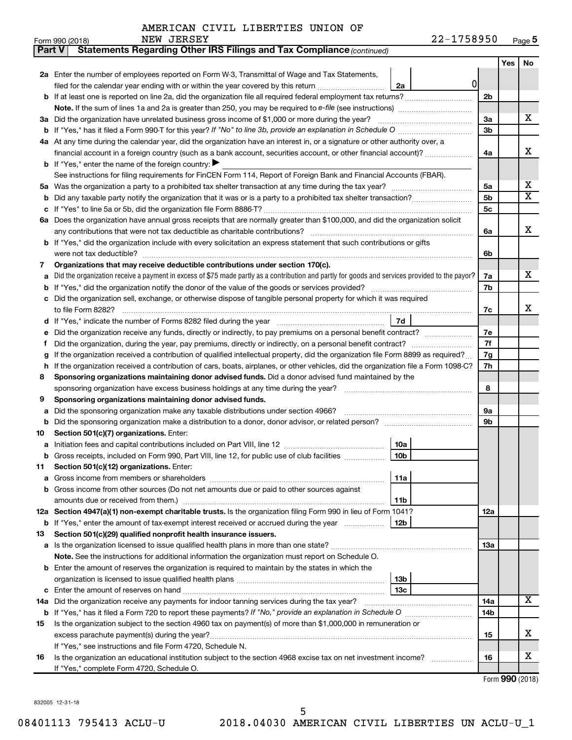|    | Statements Regarding Other IRS Filings and Tax Compliance (continued)<br><b>Part V</b>                                                                             |                 |     |     |
|----|--------------------------------------------------------------------------------------------------------------------------------------------------------------------|-----------------|-----|-----|
|    |                                                                                                                                                                    |                 | Yes | No. |
|    | 2a Enter the number of employees reported on Form W-3, Transmittal of Wage and Tax Statements,                                                                     |                 |     |     |
|    | 0<br>filed for the calendar year ending with or within the year covered by this return<br>2a                                                                       |                 |     |     |
|    | b If at least one is reported on line 2a, did the organization file all required federal employment tax returns?                                                   | 2 <sub>b</sub>  |     |     |
|    |                                                                                                                                                                    |                 |     |     |
|    | 3a Did the organization have unrelated business gross income of \$1,000 or more during the year?                                                                   | За              |     | х   |
|    | <b>b</b> If "Yes," has it filed a Form 990-T for this year? If "No" to line 3b, provide an explanation in Schedule O manumum                                       | 3 <sub>b</sub>  |     |     |
|    | 4a At any time during the calendar year, did the organization have an interest in, or a signature or other authority over, a                                       |                 |     |     |
|    | financial account in a foreign country (such as a bank account, securities account, or other financial account)?                                                   | 4a              |     | х   |
|    | <b>b</b> If "Yes," enter the name of the foreign country: ▶                                                                                                        |                 |     |     |
|    | See instructions for filing requirements for FinCEN Form 114, Report of Foreign Bank and Financial Accounts (FBAR).                                                |                 |     |     |
|    |                                                                                                                                                                    | 5a              |     | х   |
| b  |                                                                                                                                                                    | 5b              |     | х   |
|    |                                                                                                                                                                    | 5с              |     |     |
|    | 6a Does the organization have annual gross receipts that are normally greater than \$100,000, and did the organization solicit                                     |                 |     |     |
|    |                                                                                                                                                                    | 6a              |     | х   |
|    | <b>b</b> If "Yes," did the organization include with every solicitation an express statement that such contributions or gifts                                      |                 |     |     |
|    |                                                                                                                                                                    | 6b              |     |     |
| 7  | Organizations that may receive deductible contributions under section 170(c).                                                                                      |                 |     |     |
| a  | Did the organization receive a payment in excess of \$75 made partly as a contribution and partly for goods and services provided to the payor?                    | 7a              |     | х   |
|    |                                                                                                                                                                    | 7b              |     |     |
|    | c Did the organization sell, exchange, or otherwise dispose of tangible personal property for which it was required                                                |                 |     |     |
|    |                                                                                                                                                                    | 7c              |     | x   |
|    | 7d                                                                                                                                                                 |                 |     |     |
| е  |                                                                                                                                                                    | 7e              |     |     |
| Ť. |                                                                                                                                                                    | 7f              |     |     |
| g  | If the organization received a contribution of qualified intellectual property, did the organization file Form 8899 as required?                                   | 7g              |     |     |
| h  | If the organization received a contribution of cars, boats, airplanes, or other vehicles, did the organization file a Form 1098-C?                                 | 7h              |     |     |
| 8  | Sponsoring organizations maintaining donor advised funds. Did a donor advised fund maintained by the                                                               |                 |     |     |
|    |                                                                                                                                                                    | 8               |     |     |
| 9  | Sponsoring organizations maintaining donor advised funds.                                                                                                          |                 |     |     |
| а  | Did the sponsoring organization make any taxable distributions under section 4966?                                                                                 | 9а              |     |     |
| b  | Did the sponsoring organization make a distribution to a donor, donor advisor, or related person?                                                                  | 9b              |     |     |
| 10 | Section 501(c)(7) organizations. Enter:                                                                                                                            |                 |     |     |
| a  | 10a                                                                                                                                                                |                 |     |     |
|    | 10 <sub>b</sub><br>b Gross receipts, included on Form 990, Part VIII, line 12, for public use of club facilities                                                   |                 |     |     |
| 11 | Section 501(c)(12) organizations. Enter:                                                                                                                           |                 |     |     |
|    | 11a                                                                                                                                                                |                 |     |     |
|    | b Gross income from other sources (Do not net amounts due or paid to other sources against                                                                         |                 |     |     |
|    | 11b<br>12a Section 4947(a)(1) non-exempt charitable trusts. Is the organization filing Form 990 in lieu of Form 1041?                                              |                 |     |     |
|    | 12b                                                                                                                                                                | 12a             |     |     |
| 13 | <b>b</b> If "Yes," enter the amount of tax-exempt interest received or accrued during the year<br>Section 501(c)(29) qualified nonprofit health insurance issuers. |                 |     |     |
|    |                                                                                                                                                                    | 1За             |     |     |
|    | Note. See the instructions for additional information the organization must report on Schedule O.                                                                  |                 |     |     |
|    | <b>b</b> Enter the amount of reserves the organization is required to maintain by the states in which the                                                          |                 |     |     |
|    | 13b                                                                                                                                                                |                 |     |     |
|    | 13с                                                                                                                                                                |                 |     |     |
|    | 14a Did the organization receive any payments for indoor tanning services during the tax year?                                                                     | 14a             |     | x   |
|    |                                                                                                                                                                    | 14 <sub>b</sub> |     |     |
| 15 | Is the organization subject to the section 4960 tax on payment(s) of more than \$1,000,000 in remuneration or                                                      |                 |     |     |
|    |                                                                                                                                                                    | 15              |     | х   |
|    | If "Yes," see instructions and file Form 4720, Schedule N.                                                                                                         |                 |     |     |
| 16 | Is the organization an educational institution subject to the section 4968 excise tax on net investment income?                                                    | 16              |     | x   |
|    | If "Yes," complete Form 4720, Schedule O.                                                                                                                          |                 |     |     |

Form (2018) **990**

832005 12-31-18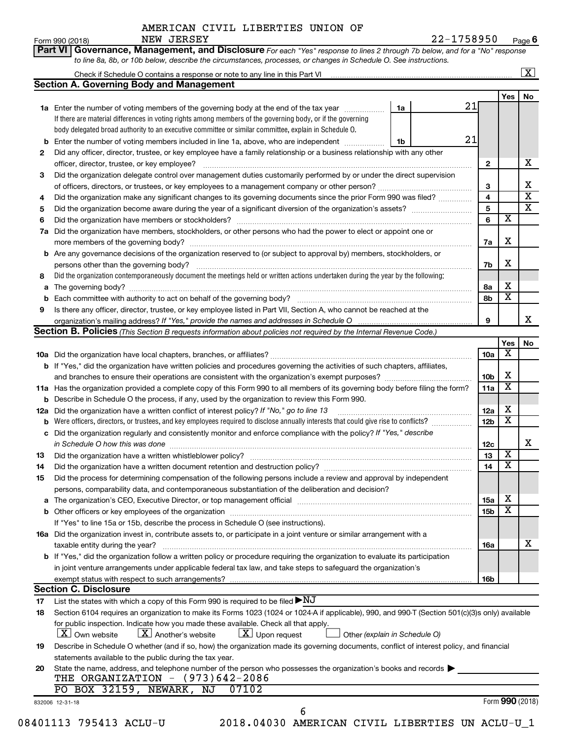Check if Schedule O contains a response or note to any line in this Part VI

**Section A. Governing Body and Management**

*to line 8a, 8b, or 10b below, describe the circumstances, processes, or changes in Schedule O. See instructions.*

**Part VI** Governance, Management, and Disclosure For each "Yes" response to lines 2 through 7b below, and for a "No" response Form 990 (2018) Page NEW JERSEY 22-1758950

832006 12-31-18 **Yes No 1a 1b 1a** Enter the number of voting members of the governing body at the end of the tax year *www.fronoming* **2 3 4 5 6 7 a** Did the organization have members, stockholders, or other persons who had the power to elect or appoint one or **8 9 b** Enter the number of voting members included in line 1a, above, who are independent  $\ldots$ **2 3 4 5 6 7a 7b 8a 8b 9 b** Are any governance decisions of the organization reserved to (or subject to approval by) members, stockholders, or **a** The governing body? ~~~~~~~~~~~~~~~~~~~~~~~~~~~~~~~~~~~~~~~~~~~~~~~~~~~ **b** Each committee with authority to act on behalf of the governing body? ~~~~~~~~~~~~~~~~~~~~~~~~~~ **Yes No 10 a** Did the organization have local chapters, branches, or affiliates? ~~~~~~~~~~~~~~~~~~~~~~~~~~~~~~ **11 a** Has the organization provided a complete copy of this Form 990 to all members of its governing body before filing the form? **b** If "Yes," did the organization have written policies and procedures governing the activities of such chapters, affiliates, **10a 10b 11a 12a 12b 12c 13 14 15a 15b 16a 16b b** Describe in Schedule O the process, if any, used by the organization to review this Form 990. **12a** Did the organization have a written conflict of interest policy? If "No," go to line 13 *marrourcessessessessessessessessessessess* **b** Were officers, directors, or trustees, and key employees required to disclose annually interests that could give rise to conflicts? **c** Did the organization regularly and consistently monitor and enforce compliance with the policy? If "Yes," describe **13 14 15** Did the process for determining compensation of the following persons include a review and approval by independent **a** The organization's CEO, Executive Director, or top management official www.community.community.community.com **b** Other officers or key employees of the organization ~~~~~~~~~~~~~~~~~~~~~~~~~~~~~~~~~~~~ **16a** Did the organization invest in, contribute assets to, or participate in a joint venture or similar arrangement with a **b** If "Yes," did the organization follow a written policy or procedure requiring the organization to evaluate its participation **17 18 19 20** organization's mailing address? If "Yes," provide the names and addresses in Schedule O manument content content **Section B. Policies** (This Section B requests information about policies not required by the Internal Revenue Code.) *in Schedule O how this was done* ~~~~~~~~~~~~~~~~~~~~~~~~~~~~~~~~~~~~~~~~~~~~~  *(explain in Schedule O)* If there are material differences in voting rights among members of the governing body, or if the governing body delegated broad authority to an executive committee or similar committee, explain in Schedule O. Did the organization contemporaneously document the meetings held or written actions undertaken during the year by the following: Form (2018) **990** Did any officer, director, trustee, or key employee have a family relationship or a business relationship with any other officer, director, trustee, or key employee? ~~~~~~~~~~~~~~~~~~~~~~~~~~~~~~~~~~~~~~~~ Did the organization delegate control over management duties customarily performed by or under the direct supervision of officers, directors, or trustees, or key employees to a management company or other person?~~~~~~~~~~~~~~ Did the organization make any significant changes to its governing documents since the prior Form 990 was filed? ............... Did the organization become aware during the year of a significant diversion of the organization's assets? ~~~~~~~~~ Did the organization have members or stockholders? ~~~~~~~~~~~~~~~~~~~~~~~~~~~~~~~~~~~ more members of the governing body? ~~~~~~~~~~~~~~~~~~~~~~~~~~~~~~~~~~~~~~~~~~ persons other than the governing body? Is there any officer, director, trustee, or key employee listed in Part VII, Section A, who cannot be reached at the and branches to ensure their operations are consistent with the organization's exempt purposes? ~~~~~~~~~~~~~ ………………… Did the organization have a written whistleblower policy? ~~~~~~~~~~~~~~~~~~~~~~~~~~~~~~~~~ Did the organization have a written document retention and destruction policy? www.community.community.communi persons, comparability data, and contemporaneous substantiation of the deliberation and decision? If "Yes" to line 15a or 15b, describe the process in Schedule O (see instructions). taxable entity during the year? ~~~~~~~~~~~~~~~~~~~~~~~~~~~~~~~~~~~~~~~~~~~~~~ in joint venture arrangements under applicable federal tax law, and take steps to safeguard the organization's exempt status with respect to such arrangements? List the states with which a copy of this Form 990 is required to be filed  $\blacktriangleright\mathrm{NJ}$ Section 6104 requires an organization to make its Forms 1023 (1024 or 1024-A if applicable), 990, and 990-T (Section 501(c)(3)s only) available for public inspection. Indicate how you made these available. Check all that apply.  $\boxed{\textbf{X}}$  Own website  $\boxed{\textbf{X}}$  Another's website  $\boxed{\textbf{X}}$  Upon request  $\boxed{\textbf{X}}$  Other Describe in Schedule O whether (and if so, how) the organization made its governing documents, conflict of interest policy, and financial statements available to the public during the tax year. State the name, address, and telephone number of the person who possesses the organization's books and records  $\blacktriangleright$ **Section C. Disclosure** 21 21 X X  $\overline{\text{x}}$ X X X X X X X X X X X X X  $\overline{\textbf{x}}$ X X X X THE ORGANIZATION - (973)642-2086 PO BOX 32159, NEWARK, NJ 07102 08401113 795413 ACLU-U 2018.04030 AMERICAN CIVIL LIBERTIES UN ACLU-U\_1 6

**6**

 $\boxed{\text{X}}$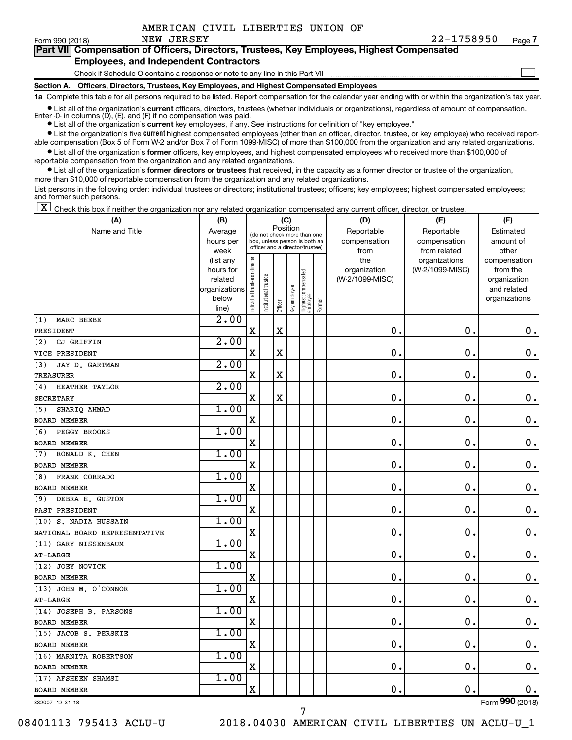$\Box$ 

| Form 990 (2018) |  | NEW JEKSEY |  |  |                                                                                            | 77-1758950 | Page |
|-----------------|--|------------|--|--|--------------------------------------------------------------------------------------------|------------|------|
|                 |  |            |  |  | Part VII Compensation of Officers, Directors, Trustees, Key Employees, Highest Compensated |            |      |
|                 |  |            |  |  |                                                                                            |            |      |

#### **Employees, and Independent Contractors**

Check if Schedule O contains a response or note to any line in this Part VII

**Section A. Officers, Directors, Trustees, Key Employees, and Highest Compensated Employees**

**1a**  Complete this table for all persons required to be listed. Report compensation for the calendar year ending with or within the organization's tax year.

**•** List all of the organization's current officers, directors, trustees (whether individuals or organizations), regardless of amount of compensation. Enter -0- in columns  $(D)$ ,  $(E)$ , and  $(F)$  if no compensation was paid.

**•** List all of the organization's **current** key employees, if any. See instructions for definition of "key employee."

**•** List the organization's five current highest compensated employees (other than an officer, director, trustee, or key employee) who received reportable compensation (Box 5 of Form W-2 and/or Box 7 of Form 1099-MISC) of more than \$100,000 from the organization and any related organizations.

**•** List all of the organization's former officers, key employees, and highest compensated employees who received more than \$100,000 of reportable compensation from the organization and any related organizations.

**•** List all of the organization's former directors or trustees that received, in the capacity as a former director or trustee of the organization, more than \$10,000 of reportable compensation from the organization and any related organizations.

List persons in the following order: individual trustees or directors; institutional trustees; officers; key employees; highest compensated employees; and former such persons.

|  |  |  | $\boxed{\mathbf{X}}$ Check this box if neither the organization nor any related organization compensated any current officer, director, or trustee. |  |  |  |  |  |
|--|--|--|-----------------------------------------------------------------------------------------------------------------------------------------------------|--|--|--|--|--|
|--|--|--|-----------------------------------------------------------------------------------------------------------------------------------------------------|--|--|--|--|--|

| (A)                           | (B)                  |                                |                      |             | (C)          |                                                                  |        | (D)                             | (E)             | (F)                      |
|-------------------------------|----------------------|--------------------------------|----------------------|-------------|--------------|------------------------------------------------------------------|--------|---------------------------------|-----------------|--------------------------|
| Name and Title                | Average              |                                |                      | Position    |              | (do not check more than one                                      |        | Reportable                      | Reportable      | Estimated                |
|                               | hours per            |                                |                      |             |              | box, unless person is both an<br>officer and a director/trustee) |        | compensation                    | compensation    | amount of                |
|                               | week                 |                                |                      |             |              |                                                                  |        | from                            | from related    | other                    |
|                               | (list any            |                                |                      |             |              |                                                                  |        | the                             | organizations   | compensation             |
|                               | hours for<br>related |                                |                      |             |              |                                                                  |        | organization<br>(W-2/1099-MISC) | (W-2/1099-MISC) | from the<br>organization |
|                               | organizations        |                                |                      |             |              |                                                                  |        |                                 |                 | and related              |
|                               | below                |                                |                      |             |              |                                                                  |        |                                 |                 | organizations            |
|                               | line)                | Individual trustee or director | nstitutional trustee | Officer     | Key employee | Highest compensated<br>employee                                  | Former |                                 |                 |                          |
| MARC BEEBE<br>(1)             | 2.00                 |                                |                      |             |              |                                                                  |        |                                 |                 |                          |
| PRESIDENT                     |                      | $\mathbf X$                    |                      | X           |              |                                                                  |        | 0                               | $\mathbf 0$ .   | 0.                       |
| CJ GRIFFIN<br>(2)             | 2.00                 |                                |                      |             |              |                                                                  |        |                                 |                 |                          |
| VICE PRESIDENT                |                      | $\mathbf X$                    |                      | $\mathbf X$ |              |                                                                  |        | 0                               | $\mathbf 0$ .   | $\mathbf 0$ .            |
| JAY D. GARTMAN<br>(3)         | 2.00                 |                                |                      |             |              |                                                                  |        |                                 |                 |                          |
| TREASURER                     |                      | $\mathbf X$                    |                      | $\mathbf X$ |              |                                                                  |        | 0                               | $\mathbf 0$     | $\mathbf 0$ .            |
| <b>HEATHER TAYLOR</b><br>(4)  | 2.00                 |                                |                      |             |              |                                                                  |        |                                 |                 |                          |
| SECRETARY                     |                      | X                              |                      | $\mathbf X$ |              |                                                                  |        | 0                               | $\mathbf 0$     | $\mathbf 0$ .            |
| (5)<br>SHARIQ AHMAD           | 1.00                 |                                |                      |             |              |                                                                  |        |                                 |                 |                          |
| <b>BOARD MEMBER</b>           |                      | X                              |                      |             |              |                                                                  |        | 0                               | $\mathbf 0$     | $\mathbf 0$ .            |
| PEGGY BROOKS<br>(6)           | 1.00                 |                                |                      |             |              |                                                                  |        |                                 |                 |                          |
| <b>BOARD MEMBER</b>           |                      | X                              |                      |             |              |                                                                  |        | 0                               | $\mathbf 0$     | $\mathbf 0$ .            |
| RONALD K. CHEN<br>(7)         | 1.00                 |                                |                      |             |              |                                                                  |        |                                 |                 |                          |
| <b>BOARD MEMBER</b>           |                      | X                              |                      |             |              |                                                                  |        | 0                               | $\mathbf 0$     | $\mathbf 0$ .            |
| FRANK CORRADO<br>(8)          | 1.00                 |                                |                      |             |              |                                                                  |        |                                 |                 |                          |
| <b>BOARD MEMBER</b>           |                      | X                              |                      |             |              |                                                                  |        | 0                               | $\mathbf 0$     | $\mathbf 0$ .            |
| DEBRA E. GUSTON<br>(9)        | 1.00                 |                                |                      |             |              |                                                                  |        |                                 |                 |                          |
| PAST PRESIDENT                |                      | X                              |                      |             |              |                                                                  |        | 0                               | $\mathbf 0$     | $\mathbf 0$ .            |
| (10) S. NADIA HUSSAIN         | 1.00                 |                                |                      |             |              |                                                                  |        |                                 |                 |                          |
| NATIONAL BOARD REPRESENTATIVE |                      | $\mathbf X$                    |                      |             |              |                                                                  |        | 0                               | $\mathbf 0$ .   | 0.                       |
| (11) GARY NISSENBAUM          | 1.00                 |                                |                      |             |              |                                                                  |        |                                 |                 |                          |
| AT-LARGE                      |                      | $\mathbf X$                    |                      |             |              |                                                                  |        | $\mathbf 0$                     | $\mathbf 0$     | $\mathbf 0$ .            |
| (12) JOEY NOVICK              | 1.00                 |                                |                      |             |              |                                                                  |        |                                 |                 |                          |
| <b>BOARD MEMBER</b>           |                      | $\mathbf X$                    |                      |             |              |                                                                  |        | 0                               | $\mathbf 0$ .   | $\mathbf 0$ .            |
| (13) JOHN M. O'CONNOR         | 1.00                 |                                |                      |             |              |                                                                  |        |                                 |                 |                          |
| AT-LARGE                      |                      | X                              |                      |             |              |                                                                  |        | 0                               | $\mathbf 0$     | $\mathbf 0$ .            |
| (14) JOSEPH B. PARSONS        | 1.00                 |                                |                      |             |              |                                                                  |        |                                 |                 |                          |
| <b>BOARD MEMBER</b>           |                      | $\mathbf X$                    |                      |             |              |                                                                  |        | 0                               | $\mathbf 0$ .   | $\mathbf 0$ .            |
| (15) JACOB S. PERSKIE         | 1.00                 |                                |                      |             |              |                                                                  |        |                                 |                 |                          |
| <b>BOARD MEMBER</b>           |                      | X                              |                      |             |              |                                                                  |        | 0                               | $\mathbf 0$     | $\mathbf 0$ .            |
| (16) MARNITA ROBERTSON        | 1.00                 |                                |                      |             |              |                                                                  |        |                                 |                 |                          |
| <b>BOARD MEMBER</b>           |                      | X                              |                      |             |              |                                                                  |        | 0                               | $\mathbf 0$     | 0.                       |
| (17) AFSHEEN SHAMSI           | 1.00                 |                                |                      |             |              |                                                                  |        |                                 |                 |                          |
| <b>BOARD MEMBER</b>           |                      | $\mathbf X$                    |                      |             |              |                                                                  |        | $\mathbf 0$                     | $\mathbf 0$     | 0.                       |
| 832007 12-31-18               |                      |                                |                      |             |              |                                                                  |        |                                 |                 | Form 990 (2018)          |

7

832007 12-31-18

08401113 795413 ACLU-U 2018.04030 AMERICAN CIVIL LIBERTIES UN ACLU-U\_1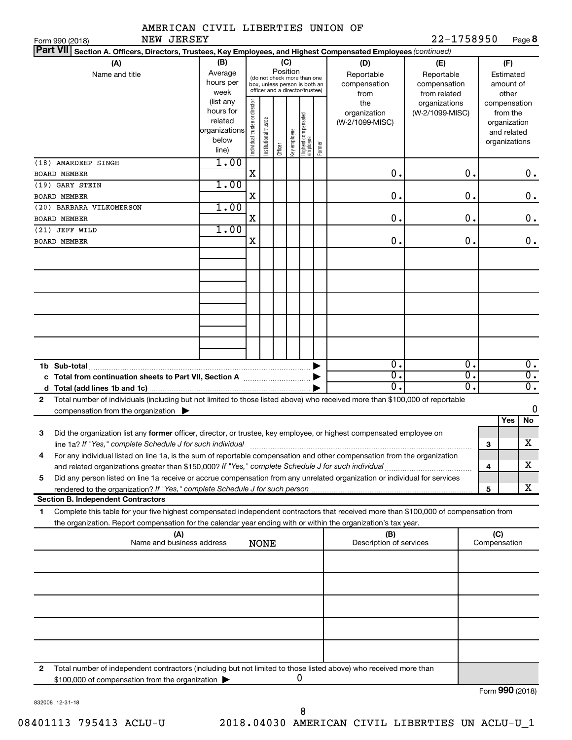| AMERICAN CIVIL LIBERTIES UNION OF                                                                                                                                                                        |                                                                       |                                |                       |                                                                                                             |              |                                  |        |                                           |                                                   |                  |     |                                                                          |
|----------------------------------------------------------------------------------------------------------------------------------------------------------------------------------------------------------|-----------------------------------------------------------------------|--------------------------------|-----------------------|-------------------------------------------------------------------------------------------------------------|--------------|----------------------------------|--------|-------------------------------------------|---------------------------------------------------|------------------|-----|--------------------------------------------------------------------------|
| NEW JERSEY<br>Form 990 (2018)                                                                                                                                                                            |                                                                       |                                |                       |                                                                                                             |              |                                  |        |                                           | 22-1758950                                        |                  |     | Page 8                                                                   |
| <b>Part VII</b><br>Section A. Officers, Directors, Trustees, Key Employees, and Highest Compensated Employees (continued)                                                                                |                                                                       |                                |                       |                                                                                                             |              |                                  |        |                                           |                                                   |                  |     |                                                                          |
| (A)<br>Name and title                                                                                                                                                                                    | (B)<br>Average<br>hours per<br>week                                   |                                |                       | Position<br>(do not check more than one<br>box, unless person is both an<br>officer and a director/trustee) | (C)          |                                  |        | (D)<br>Reportable<br>compensation<br>from | (E)<br>Reportable<br>compensation<br>from related |                  |     | (F)<br>Estimated<br>amount of<br>other                                   |
|                                                                                                                                                                                                          | (list any<br>hours for<br>related<br>organizations <br>below<br>line) | Individual trustee or director | Institutional trustee | Officer                                                                                                     | Key employee | Highest compensated<br> employee | Former | the<br>organization<br>(W-2/1099-MISC)    | organizations<br>(W-2/1099-MISC)                  |                  |     | compensation<br>from the<br>organization<br>and related<br>organizations |
| (18) AMARDEEP SINGH                                                                                                                                                                                      | 1.00                                                                  |                                |                       |                                                                                                             |              |                                  |        |                                           |                                                   | 0.               |     |                                                                          |
| <b>BOARD MEMBER</b><br>(19) GARY STEIN                                                                                                                                                                   | 1.00                                                                  | $\mathbf X$                    |                       |                                                                                                             |              |                                  |        | $\mathbf 0$ .                             |                                                   |                  |     | 0.                                                                       |
| <b>BOARD MEMBER</b>                                                                                                                                                                                      |                                                                       | X                              |                       |                                                                                                             |              |                                  |        | $\mathbf 0$ .                             |                                                   | $\mathbf 0$ .    |     | $\mathbf 0$ .                                                            |
| (20) BARBARA VILKOMERSON                                                                                                                                                                                 | 1.00                                                                  |                                |                       |                                                                                                             |              |                                  |        |                                           |                                                   |                  |     |                                                                          |
| <b>BOARD MEMBER</b>                                                                                                                                                                                      |                                                                       | X                              |                       |                                                                                                             |              |                                  |        | $\mathbf 0$ .                             |                                                   | $\mathbf 0$ .    |     | $\mathbf 0$ .                                                            |
| (21) JEFF WILD                                                                                                                                                                                           | 1.00                                                                  |                                |                       |                                                                                                             |              |                                  |        |                                           |                                                   |                  |     |                                                                          |
| <b>BOARD MEMBER</b>                                                                                                                                                                                      |                                                                       | X                              |                       |                                                                                                             |              |                                  |        | $\mathbf 0$ .                             |                                                   | 0.               |     | $\mathbf 0$ .                                                            |
|                                                                                                                                                                                                          |                                                                       |                                |                       |                                                                                                             |              |                                  |        |                                           |                                                   |                  |     |                                                                          |
|                                                                                                                                                                                                          |                                                                       |                                |                       |                                                                                                             |              |                                  |        |                                           |                                                   |                  |     |                                                                          |
|                                                                                                                                                                                                          |                                                                       |                                |                       |                                                                                                             |              |                                  |        |                                           |                                                   |                  |     |                                                                          |
|                                                                                                                                                                                                          |                                                                       |                                |                       |                                                                                                             |              |                                  |        |                                           |                                                   |                  |     |                                                                          |
|                                                                                                                                                                                                          |                                                                       |                                |                       |                                                                                                             |              |                                  |        |                                           |                                                   |                  |     |                                                                          |
|                                                                                                                                                                                                          |                                                                       |                                |                       |                                                                                                             |              |                                  |        |                                           |                                                   |                  |     |                                                                          |
|                                                                                                                                                                                                          |                                                                       |                                |                       |                                                                                                             |              |                                  |        |                                           |                                                   |                  |     |                                                                          |
|                                                                                                                                                                                                          |                                                                       |                                |                       |                                                                                                             |              |                                  |        |                                           |                                                   |                  |     |                                                                          |
|                                                                                                                                                                                                          |                                                                       |                                |                       |                                                                                                             |              |                                  |        |                                           |                                                   |                  |     |                                                                          |
| 1b Sub-total                                                                                                                                                                                             |                                                                       |                                |                       |                                                                                                             |              |                                  |        | 0.                                        |                                                   | 0.               |     | 0.                                                                       |
| c Total from continuation sheets to Part VII, Section A manuscreen continuum                                                                                                                             |                                                                       |                                |                       |                                                                                                             |              |                                  |        | σ.                                        |                                                   | $\overline{0}$ . |     | $\overline{0}$ .                                                         |
|                                                                                                                                                                                                          |                                                                       |                                |                       |                                                                                                             |              |                                  |        | $\overline{0}$                            |                                                   | $\overline{0}$ . |     | $\overline{0}$ .                                                         |
| Total number of individuals (including but not limited to those listed above) who received more than \$100,000 of reportable<br>$\mathbf{2}$<br>compensation from the organization $\blacktriangleright$ |                                                                       |                                |                       |                                                                                                             |              |                                  |        |                                           |                                                   |                  |     | 0                                                                        |
|                                                                                                                                                                                                          |                                                                       |                                |                       |                                                                                                             |              |                                  |        |                                           |                                                   |                  |     | Yes<br>No                                                                |
| Did the organization list any former officer, director, or trustee, key employee, or highest compensated employee on<br>з                                                                                |                                                                       |                                |                       |                                                                                                             |              |                                  |        |                                           |                                                   |                  |     |                                                                          |
| line 1a? If "Yes," complete Schedule J for such individual [11] manuman manuman manuman manuman manuman manum                                                                                            |                                                                       |                                |                       |                                                                                                             |              |                                  |        |                                           |                                                   |                  | з   | X                                                                        |
| For any individual listed on line 1a, is the sum of reportable compensation and other compensation from the organization<br>4                                                                            |                                                                       |                                |                       |                                                                                                             |              |                                  |        |                                           |                                                   |                  |     |                                                                          |
|                                                                                                                                                                                                          |                                                                       |                                |                       |                                                                                                             |              |                                  |        |                                           |                                                   |                  | 4   | x                                                                        |
| Did any person listed on line 1a receive or accrue compensation from any unrelated organization or individual for services<br>5                                                                          |                                                                       |                                |                       |                                                                                                             |              |                                  |        |                                           |                                                   |                  | 5   | x                                                                        |
| <b>Section B. Independent Contractors</b>                                                                                                                                                                |                                                                       |                                |                       |                                                                                                             |              |                                  |        |                                           |                                                   |                  |     |                                                                          |
| Complete this table for your five highest compensated independent contractors that received more than \$100,000 of compensation from<br>1                                                                |                                                                       |                                |                       |                                                                                                             |              |                                  |        |                                           |                                                   |                  |     |                                                                          |
| the organization. Report compensation for the calendar year ending with or within the organization's tax year.                                                                                           |                                                                       |                                |                       |                                                                                                             |              |                                  |        |                                           |                                                   |                  |     |                                                                          |
| (A)                                                                                                                                                                                                      |                                                                       |                                |                       |                                                                                                             |              |                                  |        | (B)                                       |                                                   |                  | (C) |                                                                          |
| Name and business address<br>Description of services<br><b>NONE</b>                                                                                                                                      |                                                                       |                                |                       |                                                                                                             |              |                                  |        |                                           |                                                   | Compensation     |     |                                                                          |
|                                                                                                                                                                                                          |                                                                       |                                |                       |                                                                                                             |              |                                  |        |                                           |                                                   |                  |     |                                                                          |
|                                                                                                                                                                                                          |                                                                       |                                |                       |                                                                                                             |              |                                  |        |                                           |                                                   |                  |     |                                                                          |
|                                                                                                                                                                                                          |                                                                       |                                |                       |                                                                                                             |              |                                  |        |                                           |                                                   |                  |     |                                                                          |
|                                                                                                                                                                                                          |                                                                       |                                |                       |                                                                                                             |              |                                  |        |                                           |                                                   |                  |     |                                                                          |
|                                                                                                                                                                                                          |                                                                       |                                |                       |                                                                                                             |              |                                  |        |                                           |                                                   |                  |     |                                                                          |
|                                                                                                                                                                                                          |                                                                       |                                |                       |                                                                                                             |              |                                  |        |                                           |                                                   |                  |     |                                                                          |
|                                                                                                                                                                                                          |                                                                       |                                |                       |                                                                                                             |              |                                  |        |                                           |                                                   |                  |     |                                                                          |
|                                                                                                                                                                                                          |                                                                       |                                |                       |                                                                                                             |              |                                  |        |                                           |                                                   |                  |     |                                                                          |
| Total number of independent contractors (including but not limited to those listed above) who received more than<br>2                                                                                    |                                                                       |                                |                       |                                                                                                             |              |                                  |        |                                           |                                                   |                  |     |                                                                          |
| \$100,000 of compensation from the organization                                                                                                                                                          |                                                                       |                                |                       |                                                                                                             |              | 0                                |        |                                           |                                                   |                  |     |                                                                          |

\$100,000 of compensation from the organization  $\blacktriangleright$ 

Form (2018) **990**

832008 12-31-18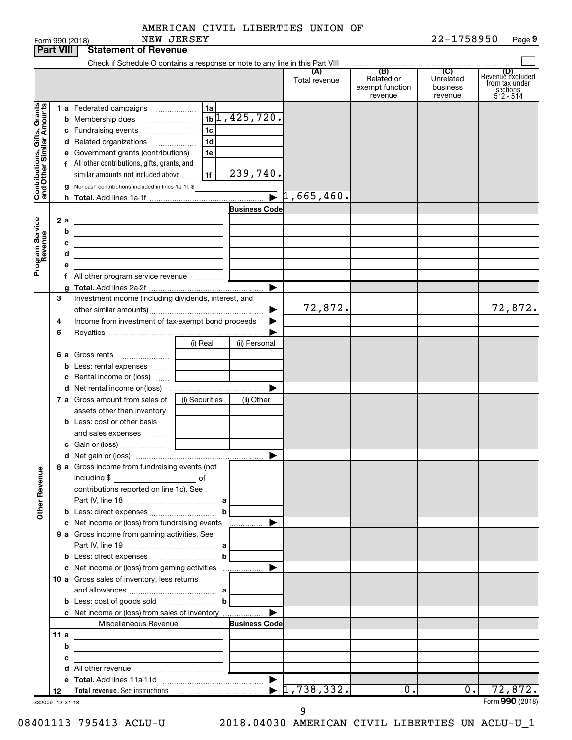|            | AMERICAN CIVIL LIBERTIES UNION OF |  |
|------------|-----------------------------------|--|
| NEW JERSEY |                                   |  |

|                                                           |                  | Form 990 (2018)                                                                                            | NEW JERSEY     |                      |                                  |                                                 | 22-1758950                              | Page 9                                                             |
|-----------------------------------------------------------|------------------|------------------------------------------------------------------------------------------------------------|----------------|----------------------|----------------------------------|-------------------------------------------------|-----------------------------------------|--------------------------------------------------------------------|
|                                                           | <b>Part VIII</b> | <b>Statement of Revenue</b>                                                                                |                |                      |                                  |                                                 |                                         |                                                                    |
|                                                           |                  |                                                                                                            |                |                      |                                  |                                                 |                                         |                                                                    |
|                                                           |                  |                                                                                                            |                |                      | (A)<br>Total revenue             | (B)<br>Related or<br>exempt function<br>revenue | (C)<br>Unrelated<br>business<br>revenue | (D)<br>Revenue excluded<br>from tax under<br>sections<br>512 - 514 |
|                                                           |                  | 1 a Federated campaigns                                                                                    | 1a             |                      |                                  |                                                 |                                         |                                                                    |
| Contributions, Gifts, Grants<br>and Other Similar Amounts |                  | <b>b</b> Membership dues                                                                                   |                | $11$ , 425, 720.     |                                  |                                                 |                                         |                                                                    |
|                                                           |                  | c Fundraising events                                                                                       | 1 <sub>c</sub> |                      |                                  |                                                 |                                         |                                                                    |
|                                                           |                  | d Related organizations                                                                                    | 1 <sub>d</sub> |                      |                                  |                                                 |                                         |                                                                    |
|                                                           |                  | e Government grants (contributions)                                                                        | 1e             |                      |                                  |                                                 |                                         |                                                                    |
|                                                           |                  | f All other contributions, gifts, grants, and                                                              |                |                      |                                  |                                                 |                                         |                                                                    |
|                                                           |                  | similar amounts not included above                                                                         | 1f             | 239,740.             |                                  |                                                 |                                         |                                                                    |
|                                                           |                  | g Noncash contributions included in lines 1a-1f: \$                                                        |                |                      | $\bar{1}$ , 665, 460.            |                                                 |                                         |                                                                    |
|                                                           |                  |                                                                                                            |                | <b>Business Code</b> |                                  |                                                 |                                         |                                                                    |
|                                                           | 2a               |                                                                                                            |                |                      |                                  |                                                 |                                         |                                                                    |
| Program Service                                           | b                | <u> 1989 - Johann John Stone, market fransk konge</u><br><u> 1989 - Johann Barbara, martxa alemaniar a</u> |                |                      |                                  |                                                 |                                         |                                                                    |
|                                                           | с                |                                                                                                            |                |                      |                                  |                                                 |                                         |                                                                    |
|                                                           | d                | the control of the control of the control of the control of the control of                                 |                |                      |                                  |                                                 |                                         |                                                                    |
|                                                           | е                |                                                                                                            |                |                      |                                  |                                                 |                                         |                                                                    |
|                                                           |                  | f All other program service revenue                                                                        |                |                      |                                  |                                                 |                                         |                                                                    |
|                                                           |                  |                                                                                                            |                |                      |                                  |                                                 |                                         |                                                                    |
|                                                           | 3                | Investment income (including dividends, interest, and                                                      |                |                      | 72,872.                          |                                                 |                                         |                                                                    |
|                                                           |                  | Income from investment of tax-exempt bond proceeds                                                         |                |                      |                                  |                                                 |                                         | 72,872.                                                            |
|                                                           | 4<br>5           |                                                                                                            |                |                      |                                  |                                                 |                                         |                                                                    |
|                                                           |                  |                                                                                                            | (i) Real       | (ii) Personal        |                                  |                                                 |                                         |                                                                    |
|                                                           |                  | 6 a Gross rents                                                                                            |                |                      |                                  |                                                 |                                         |                                                                    |
|                                                           |                  | b Less: rental expenses                                                                                    |                |                      |                                  |                                                 |                                         |                                                                    |
|                                                           |                  |                                                                                                            |                |                      |                                  |                                                 |                                         |                                                                    |
|                                                           |                  |                                                                                                            |                |                      |                                  |                                                 |                                         |                                                                    |
|                                                           |                  | 7 a Gross amount from sales of                                                                             | (i) Securities | (ii) Other           |                                  |                                                 |                                         |                                                                    |
|                                                           |                  | assets other than inventory                                                                                |                |                      |                                  |                                                 |                                         |                                                                    |
|                                                           |                  | <b>b</b> Less: cost or other basis                                                                         |                |                      |                                  |                                                 |                                         |                                                                    |
|                                                           |                  | and sales expenses                                                                                         |                |                      |                                  |                                                 |                                         |                                                                    |
|                                                           |                  |                                                                                                            |                |                      |                                  |                                                 |                                         |                                                                    |
|                                                           |                  | 8 a Gross income from fundraising events (not                                                              |                |                      |                                  |                                                 |                                         |                                                                    |
| <b>Other Revenue</b>                                      |                  | including \$<br>$\overline{\phantom{a}}$ of                                                                |                |                      |                                  |                                                 |                                         |                                                                    |
|                                                           |                  | contributions reported on line 1c). See                                                                    |                |                      |                                  |                                                 |                                         |                                                                    |
|                                                           |                  |                                                                                                            |                |                      |                                  |                                                 |                                         |                                                                    |
|                                                           |                  |                                                                                                            |                |                      |                                  |                                                 |                                         |                                                                    |
|                                                           |                  | c Net income or (loss) from fundraising events                                                             |                |                      |                                  |                                                 |                                         |                                                                    |
|                                                           |                  | 9 a Gross income from gaming activities. See                                                               |                |                      |                                  |                                                 |                                         |                                                                    |
|                                                           |                  |                                                                                                            |                |                      |                                  |                                                 |                                         |                                                                    |
|                                                           |                  |                                                                                                            |                |                      |                                  |                                                 |                                         |                                                                    |
|                                                           |                  | 10 a Gross sales of inventory, less returns                                                                |                |                      |                                  |                                                 |                                         |                                                                    |
|                                                           |                  |                                                                                                            |                |                      |                                  |                                                 |                                         |                                                                    |
|                                                           |                  |                                                                                                            |                |                      |                                  |                                                 |                                         |                                                                    |
|                                                           |                  | c Net income or (loss) from sales of inventory                                                             |                |                      |                                  |                                                 |                                         |                                                                    |
|                                                           |                  | Miscellaneous Revenue                                                                                      |                | <b>Business Code</b> |                                  |                                                 |                                         |                                                                    |
|                                                           | 11 a             |                                                                                                            |                |                      |                                  |                                                 |                                         |                                                                    |
|                                                           | b                |                                                                                                            |                |                      |                                  |                                                 |                                         |                                                                    |
|                                                           | с                |                                                                                                            |                |                      |                                  |                                                 |                                         |                                                                    |
|                                                           |                  |                                                                                                            |                |                      |                                  |                                                 |                                         |                                                                    |
|                                                           | 12               |                                                                                                            |                |                      | $\blacktriangleright$ 1,738,332. | $\overline{0}$ .                                | $0$ .                                   | 72,872.                                                            |
| 832009 12-31-18                                           |                  |                                                                                                            |                |                      |                                  |                                                 |                                         | Form 990 (2018)                                                    |

08401113 795413 ACLU-U 2018.04030 AMERICAN CIVIL LIBERTIES UN ACLU-U\_1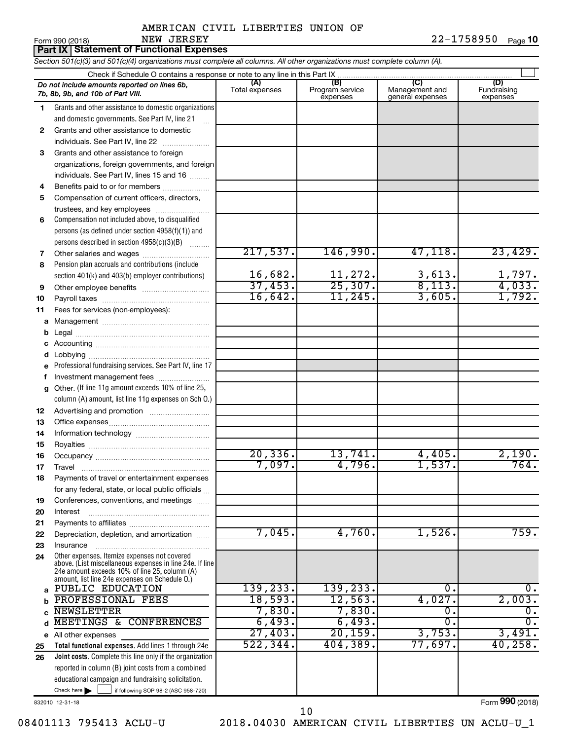**10**

|    | NEW JERSEY<br>Form 990 (2018)                                                                                                                                            |                |                             |                                    | 22-1758950<br>Page 10   |
|----|--------------------------------------------------------------------------------------------------------------------------------------------------------------------------|----------------|-----------------------------|------------------------------------|-------------------------|
|    | Part IX   Statement of Functional Expenses<br>Section 501(c)(3) and 501(c)(4) organizations must complete all columns. All other organizations must complete column (A). |                |                             |                                    |                         |
|    |                                                                                                                                                                          |                |                             |                                    |                         |
|    | Do not include amounts reported on lines 6b,                                                                                                                             | (A)            | (B)                         | $\overline{C}$                     | (D)                     |
|    | 7b, 8b, 9b, and 10b of Part VIII.                                                                                                                                        | Total expenses | Program service<br>expenses | Management and<br>general expenses | Fundraising<br>expenses |
| 1  | Grants and other assistance to domestic organizations                                                                                                                    |                |                             |                                    |                         |
|    | and domestic governments. See Part IV, line 21                                                                                                                           |                |                             |                                    |                         |
| 2  | Grants and other assistance to domestic                                                                                                                                  |                |                             |                                    |                         |
|    | individuals. See Part IV, line 22                                                                                                                                        |                |                             |                                    |                         |
| 3  | Grants and other assistance to foreign                                                                                                                                   |                |                             |                                    |                         |
|    | organizations, foreign governments, and foreign                                                                                                                          |                |                             |                                    |                         |
|    | individuals. See Part IV, lines 15 and 16                                                                                                                                |                |                             |                                    |                         |
| 4  | Benefits paid to or for members                                                                                                                                          |                |                             |                                    |                         |
| 5  | Compensation of current officers, directors,                                                                                                                             |                |                             |                                    |                         |
|    | trustees, and key employees                                                                                                                                              |                |                             |                                    |                         |
| 6  | Compensation not included above, to disqualified                                                                                                                         |                |                             |                                    |                         |
|    | persons (as defined under section 4958(f)(1)) and                                                                                                                        |                |                             |                                    |                         |
|    | persons described in section 4958(c)(3)(B)                                                                                                                               |                |                             |                                    |                         |
| 7  |                                                                                                                                                                          | 217,537.       | 146,990.                    | 47, 118.                           | 23,429.                 |
| 8  | Pension plan accruals and contributions (include                                                                                                                         |                |                             |                                    |                         |
|    | section 401(k) and 403(b) employer contributions)                                                                                                                        | 16,682.        | 11,272.                     | 3,613.                             | 1,797.                  |
| 9  |                                                                                                                                                                          | 37,453.        | 25,307.                     | 8,113.                             | 4,033.                  |
| 10 |                                                                                                                                                                          | 16,642.        | 11,245.                     | 3,605.                             | 1,792.                  |
| 11 | Fees for services (non-employees):                                                                                                                                       |                |                             |                                    |                         |
| a  |                                                                                                                                                                          |                |                             |                                    |                         |
| b  |                                                                                                                                                                          |                |                             |                                    |                         |
| c  |                                                                                                                                                                          |                |                             |                                    |                         |
| d  |                                                                                                                                                                          |                |                             |                                    |                         |
| e  | Professional fundraising services. See Part IV, line 17                                                                                                                  |                |                             |                                    |                         |
| f  | Investment management fees                                                                                                                                               |                |                             |                                    |                         |
| g  | Other. (If line 11g amount exceeds 10% of line 25,                                                                                                                       |                |                             |                                    |                         |
|    | column (A) amount, list line 11g expenses on Sch O.)                                                                                                                     |                |                             |                                    |                         |
| 12 |                                                                                                                                                                          |                |                             |                                    |                         |
| 13 |                                                                                                                                                                          |                |                             |                                    |                         |
| 14 |                                                                                                                                                                          |                |                             |                                    |                         |
| 15 |                                                                                                                                                                          | 20,336.        | 13,741.                     | 4,405.                             | 2,190.                  |
| 16 |                                                                                                                                                                          | 7,097.         | 4,796.                      | 1,537.                             | 764.                    |
| 17 | Travel<br>Payments of travel or entertainment expenses                                                                                                                   |                |                             |                                    |                         |
| 18 |                                                                                                                                                                          |                |                             |                                    |                         |
| 19 | for any federal, state, or local public officials<br>Conferences, conventions, and meetings                                                                              |                |                             |                                    |                         |
| 20 | Interest                                                                                                                                                                 |                |                             |                                    |                         |
| 21 |                                                                                                                                                                          |                |                             |                                    |                         |
| 22 | Depreciation, depletion, and amortization                                                                                                                                | 7,045.         | 4,760.                      | 1,526.                             | 759.                    |
| 23 | Insurance                                                                                                                                                                |                |                             |                                    |                         |
| 24 | Other expenses. Itemize expenses not covered                                                                                                                             |                |                             |                                    |                         |
|    | above. (List miscellaneous expenses in line 24e. If line                                                                                                                 |                |                             |                                    |                         |
|    | 24e amount exceeds 10% of line 25, column (A)<br>amount, list line 24e expenses on Schedule O.)                                                                          |                |                             |                                    |                         |
|    | a PUBLIC EDUCATION                                                                                                                                                       | 139, 233.      | 139, 233.                   | 0.                                 | 0.                      |
| b  | PROFESSIONAL FEES                                                                                                                                                        | 18,593.        | 12,563.                     | 4,027.                             | 2,003.                  |
| C  | <b>NEWSLETTER</b>                                                                                                                                                        | 7,830.         | 7,830.                      | $\overline{0}$ .                   | $\overline{0}$ .        |
| d  | MEETINGS & CONFERENCES                                                                                                                                                   | 6,493.         | 6,493.                      | σ.                                 | $\overline{0}$ .        |
|    | e All other expenses                                                                                                                                                     | 27,403.        | 20, 159.                    | 3,753.                             | 3,491.                  |
| 25 | Total functional expenses. Add lines 1 through 24e                                                                                                                       | 522, 344.      | 404, 389.                   | 77,697.                            | 40, 258.                |
| 26 | Joint costs. Complete this line only if the organization                                                                                                                 |                |                             |                                    |                         |

Check here if following SOP 98-2 (ASC 958-720) reported in column (B) joint costs from a combined educational campaign and fundraising solicitation.

Form (2018) **990**

832010 12-31-18

08401113 795413 ACLU-U 2018.04030 AMERICAN CIVIL LIBERTIES UN ACLU-U\_1 10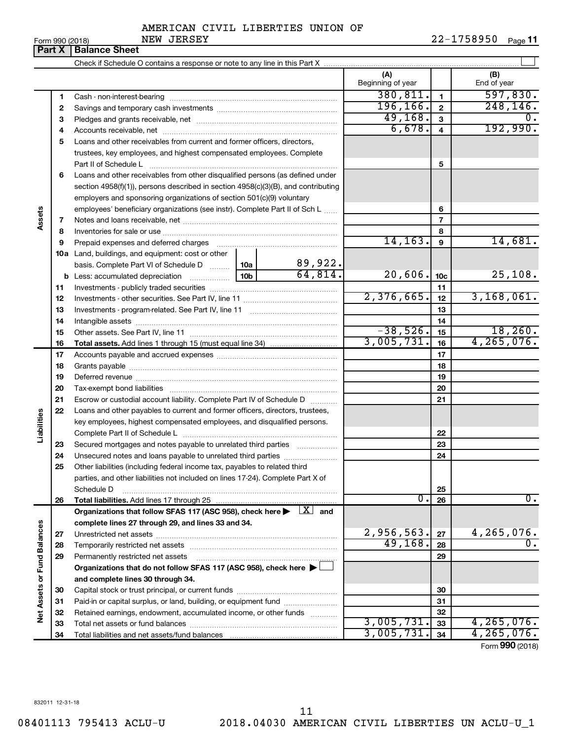Form 990 (2018) Page **11** NEW JERSEY 22-1758950

|                             |    | <b>Part X   Balance Sheet</b>                                                                                           |        |                         |                          |                         |                                |
|-----------------------------|----|-------------------------------------------------------------------------------------------------------------------------|--------|-------------------------|--------------------------|-------------------------|--------------------------------|
|                             |    |                                                                                                                         |        |                         |                          |                         |                                |
|                             |    |                                                                                                                         |        |                         | (A)<br>Beginning of year |                         | (B)<br>End of year             |
|                             | 1  |                                                                                                                         |        | 380,811.                | 1                        | 597,830.                |                                |
|                             | 2  |                                                                                                                         |        |                         | 196, 166.                | $\overline{\mathbf{2}}$ | 248, 146.                      |
|                             | 3  |                                                                                                                         |        |                         | 49,168.                  | $\mathbf{3}$            |                                |
|                             | 4  |                                                                                                                         | 6,678. | $\overline{\mathbf{4}}$ | 192,990.                 |                         |                                |
|                             | 5  | Loans and other receivables from current and former officers, directors,                                                |        |                         |                          |                         |                                |
|                             |    | trustees, key employees, and highest compensated employees. Complete                                                    |        |                         |                          |                         |                                |
|                             |    | Part II of Schedule L                                                                                                   |        |                         |                          | 5                       |                                |
|                             | 6  | Loans and other receivables from other disqualified persons (as defined under                                           |        |                         |                          |                         |                                |
|                             |    | section 4958(f)(1)), persons described in section 4958(c)(3)(B), and contributing                                       |        |                         |                          |                         |                                |
|                             |    | employers and sponsoring organizations of section 501(c)(9) voluntary                                                   |        |                         |                          |                         |                                |
|                             |    | employees' beneficiary organizations (see instr). Complete Part II of Sch L                                             |        |                         |                          | 6                       |                                |
| Assets                      | 7  |                                                                                                                         |        |                         |                          | $\overline{7}$          |                                |
|                             | 8  |                                                                                                                         |        |                         |                          | 8                       |                                |
|                             | 9  |                                                                                                                         |        |                         | 14, 163.                 | 9                       | 14,681.                        |
|                             |    | <b>10a</b> Land, buildings, and equipment: cost or other                                                                |        |                         |                          |                         |                                |
|                             |    | basis. Complete Part VI of Schedule D  10a                                                                              |        | 89,922.                 |                          |                         |                                |
|                             |    |                                                                                                                         |        | 64,814.                 | 20,606.                  | 10 <sub>c</sub>         | 25,108.                        |
|                             | 11 |                                                                                                                         |        |                         |                          | 11                      |                                |
|                             | 12 |                                                                                                                         |        |                         | 2,376,665.               | 12                      | 3,168,061.                     |
|                             | 13 |                                                                                                                         |        |                         |                          | 13                      |                                |
|                             | 14 |                                                                                                                         |        |                         |                          | 14                      |                                |
|                             | 15 |                                                                                                                         |        |                         | $-38,526.$               | 15                      | 18,260.                        |
|                             | 16 |                                                                                                                         |        |                         | 3,005,731.               | 16                      | 4, 265, 076.                   |
|                             | 17 |                                                                                                                         |        |                         |                          | 17                      |                                |
|                             | 18 |                                                                                                                         |        |                         |                          | 18                      |                                |
|                             | 19 |                                                                                                                         |        |                         |                          | 19                      |                                |
|                             | 20 |                                                                                                                         |        |                         |                          | 20                      |                                |
|                             | 21 | Escrow or custodial account liability. Complete Part IV of Schedule D                                                   |        |                         |                          | 21                      |                                |
|                             | 22 | Loans and other payables to current and former officers, directors, trustees,                                           |        |                         |                          |                         |                                |
| Liabilities                 |    | key employees, highest compensated employees, and disqualified persons.                                                 |        |                         |                          |                         |                                |
|                             |    |                                                                                                                         |        |                         |                          | 22                      |                                |
|                             | 23 | Secured mortgages and notes payable to unrelated third parties                                                          |        |                         |                          | 23                      |                                |
|                             | 24 | Unsecured notes and loans payable to unrelated third parties                                                            |        |                         |                          | 24                      |                                |
|                             | 25 | Other liabilities (including federal income tax, payables to related third                                              |        |                         |                          |                         |                                |
|                             |    | parties, and other liabilities not included on lines 17-24). Complete Part X of                                         |        |                         |                          |                         |                                |
|                             |    | Schedule D                                                                                                              |        |                         |                          | 25                      |                                |
|                             | 26 | Total liabilities. Add lines 17 through 25                                                                              |        |                         | $\overline{0}$ .         | 26                      | $\overline{0}$ .               |
|                             |    | Organizations that follow SFAS 117 (ASC 958), check here $\blacktriangleright \begin{array}{c} \perp X \end{array}$ and |        |                         |                          |                         |                                |
|                             |    | complete lines 27 through 29, and lines 33 and 34.                                                                      |        |                         |                          |                         |                                |
|                             | 27 |                                                                                                                         |        |                         | 2,956,563.               | 27                      | 4,265,076.<br>$\overline{0}$ . |
|                             | 28 |                                                                                                                         |        |                         | 49, 168.                 | 28                      |                                |
|                             | 29 | Permanently restricted net assets                                                                                       |        |                         |                          | 29                      |                                |
|                             |    | Organizations that do not follow SFAS 117 (ASC 958), check here ▶                                                       |        |                         |                          |                         |                                |
|                             |    | and complete lines 30 through 34.                                                                                       |        |                         |                          |                         |                                |
| Net Assets or Fund Balances | 30 |                                                                                                                         |        |                         |                          | 30                      |                                |
|                             | 31 | Paid-in or capital surplus, or land, building, or equipment fund                                                        |        |                         |                          | 31                      |                                |
|                             | 32 | Retained earnings, endowment, accumulated income, or other funds                                                        |        |                         | 3,005,731.               | 32                      | 4, 265, 076.                   |
|                             | 33 |                                                                                                                         |        |                         | 3,005,731.               | 33                      | 4, 265, 076.                   |
|                             | 34 |                                                                                                                         |        |                         |                          | 34                      | Form 990 (2018)                |

832011 12-31-18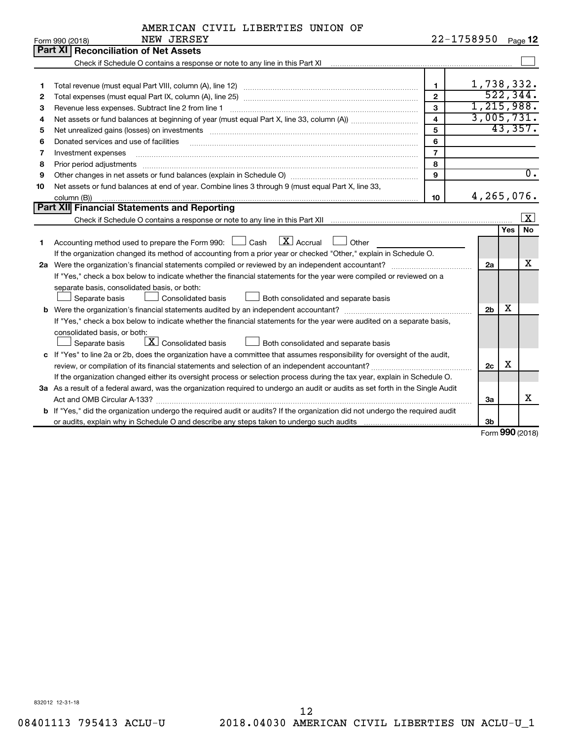|  | AMERICAN CIVIL LIBERTIES UNION OF |  |
|--|-----------------------------------|--|
|  |                                   |  |

|    | NEW JERSEY<br>Form 990 (2018)                                                                                                   |                         | 22-1758950     |            | Page 12          |
|----|---------------------------------------------------------------------------------------------------------------------------------|-------------------------|----------------|------------|------------------|
|    | Part XI<br>Reconciliation of Net Assets                                                                                         |                         |                |            |                  |
|    |                                                                                                                                 |                         |                |            |                  |
|    |                                                                                                                                 |                         |                |            |                  |
| 1  |                                                                                                                                 | $\mathbf{1}$            |                |            | 1,738,332.       |
| 2  |                                                                                                                                 | $\overline{2}$          |                |            | 522, 344.        |
| З  | Revenue less expenses. Subtract line 2 from line 1                                                                              | $\mathbf{3}$            |                |            | 1,215,988.       |
| 4  |                                                                                                                                 | $\overline{\mathbf{4}}$ |                |            | 3,005,731.       |
| 5  |                                                                                                                                 | 5                       |                |            | 43,357.          |
| 6  | Donated services and use of facilities                                                                                          | 6                       |                |            |                  |
| 7  | Investment expenses                                                                                                             | $\overline{7}$          |                |            |                  |
| 8  |                                                                                                                                 | 8                       |                |            |                  |
| 9  |                                                                                                                                 | 9                       |                |            | $\overline{0}$ . |
| 10 | Net assets or fund balances at end of year. Combine lines 3 through 9 (must equal Part X, line 33,                              |                         |                |            |                  |
|    | column (B))                                                                                                                     | 10                      |                |            | 4,265,076.       |
|    | Part XII Financial Statements and Reporting                                                                                     |                         |                |            |                  |
|    |                                                                                                                                 |                         |                |            | <u>  x</u>       |
|    |                                                                                                                                 |                         |                | <b>Yes</b> | <b>No</b>        |
| 1  | Accounting method used to prepare the Form 990: $\Box$ Cash $\Box$ Accrual $\Box$ Other                                         |                         |                |            |                  |
|    | If the organization changed its method of accounting from a prior year or checked "Other," explain in Schedule O.               |                         |                |            |                  |
|    | 2a Were the organization's financial statements compiled or reviewed by an independent accountant?                              |                         | 2a             |            | X                |
|    | If "Yes," check a box below to indicate whether the financial statements for the year were compiled or reviewed on a            |                         |                |            |                  |
|    | separate basis, consolidated basis, or both:                                                                                    |                         |                |            |                  |
|    | Separate basis<br><b>Consolidated basis</b><br>Both consolidated and separate basis                                             |                         |                |            |                  |
|    |                                                                                                                                 |                         | 2 <sub>b</sub> | x          |                  |
|    | If "Yes," check a box below to indicate whether the financial statements for the year were audited on a separate basis,         |                         |                |            |                  |
|    | consolidated basis, or both:                                                                                                    |                         |                |            |                  |
|    | $\boxed{\textbf{X}}$ Consolidated basis<br>Separate basis<br>Both consolidated and separate basis                               |                         |                |            |                  |
|    | c If "Yes" to line 2a or 2b, does the organization have a committee that assumes responsibility for oversight of the audit,     |                         |                |            |                  |
|    |                                                                                                                                 |                         | 2c             | х          |                  |
|    | If the organization changed either its oversight process or selection process during the tax year, explain in Schedule O.       |                         |                |            |                  |
|    | 3a As a result of a federal award, was the organization required to undergo an audit or audits as set forth in the Single Audit |                         |                |            |                  |
|    |                                                                                                                                 |                         | За             |            | х                |
|    | b If "Yes," did the organization undergo the required audit or audits? If the organization did not undergo the required audit   |                         |                |            |                  |
|    |                                                                                                                                 |                         | 3b             |            |                  |

Form (2018) **990**

832012 12-31-18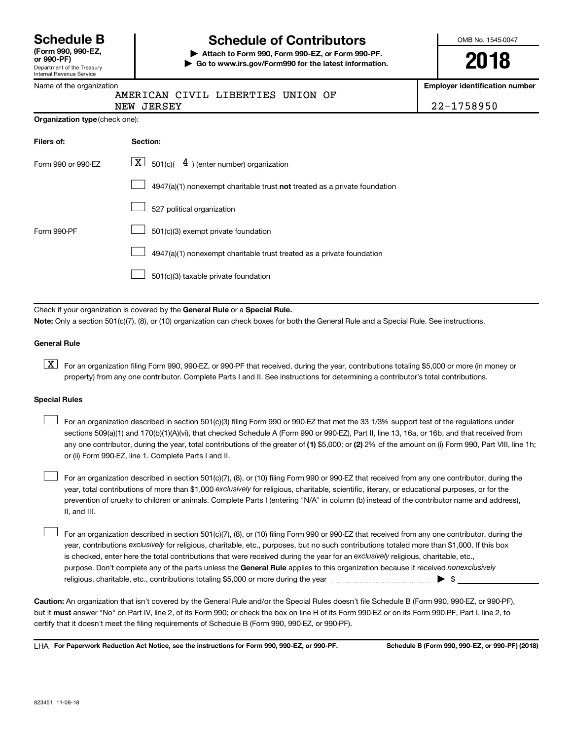|                             | <b>Schedule B</b> |
|-----------------------------|-------------------|
| $T_{\rm arm}$ 000 000 $E$ 7 |                   |

#### Department of the Treasury Internal Revenue Service **(Form 990, 990-EZ,**

# Name of the organization

# **Schedule of Contributors**

**or 990-PF) | Attach to Form 990, Form 990-EZ, or Form 990-PF. | Go to www.irs.gov/Form990 for the latest information.** OMB No. 1545-0047

**2018**

**Employer identification number**

| ווט טו נווט טו קמווובמנוטו ו |  |                                   |  |
|------------------------------|--|-----------------------------------|--|
|                              |  | AMERICAN CIVIL LIBERTIES UNION OF |  |

NEW JERSEY 22-1758950

|  | Organization type (check one): |
|--|--------------------------------|
|--|--------------------------------|

| Filers of:         | Section:                                                                    |
|--------------------|-----------------------------------------------------------------------------|
| Form 990 or 990-EZ | $ \mathbf{X} $ 501(c)( 4) (enter number) organization                       |
|                    | $4947(a)(1)$ nonexempt charitable trust not treated as a private foundation |
|                    | 527 political organization                                                  |
| Form 990-PF        | 501(c)(3) exempt private foundation                                         |
|                    | 4947(a)(1) nonexempt charitable trust treated as a private foundation       |
|                    | 501(c)(3) taxable private foundation                                        |

Check if your organization is covered by the General Rule or a Special Rule. **Note:**  Only a section 501(c)(7), (8), or (10) organization can check boxes for both the General Rule and a Special Rule. See instructions.

#### **General Rule**

**K** For an organization filing Form 990, 990-EZ, or 990-PF that received, during the year, contributions totaling \$5,000 or more (in money or property) from any one contributor. Complete Parts I and II. See instructions for determining a contributor's total contributions.

#### **Special Rules**

 $\Box$ 

any one contributor, during the year, total contributions of the greater of (1) \$5,000; or (2) 2% of the amount on (i) Form 990, Part VIII, line 1h; For an organization described in section 501(c)(3) filing Form 990 or 990-EZ that met the 33 1/3% support test of the regulations under sections 509(a)(1) and 170(b)(1)(A)(vi), that checked Schedule A (Form 990 or 990-EZ), Part II, line 13, 16a, or 16b, and that received from or (ii) Form 990-EZ, line 1. Complete Parts I and II.  $\Box$ 

year, total contributions of more than \$1,000 *exclusively* for religious, charitable, scientific, literary, or educational purposes, or for the For an organization described in section 501(c)(7), (8), or (10) filing Form 990 or 990-EZ that received from any one contributor, during the prevention of cruelty to children or animals. Complete Parts I (entering "N/A" in column (b) instead of the contributor name and address), II, and III.  $\Box$ 

purpose. Don't complete any of the parts unless the General Rule applies to this organization because it received nonexclusively year, contributions exclusively for religious, charitable, etc., purposes, but no such contributions totaled more than \$1,000. If this box is checked, enter here the total contributions that were received during the year for an exclusively religious, charitable, etc., For an organization described in section 501(c)(7), (8), or (10) filing Form 990 or 990-EZ that received from any one contributor, during the religious, charitable, etc., contributions totaling \$5,000 or more during the year  $~\ldots\ldots\ldots\ldots\ldots\ldots\ldots\ldots\blacktriangleright~$ \$

**Caution:**  An organization that isn't covered by the General Rule and/or the Special Rules doesn't file Schedule B (Form 990, 990-EZ, or 990-PF),  **must** but it answer "No" on Part IV, line 2, of its Form 990; or check the box on line H of its Form 990-EZ or on its Form 990-PF, Part I, line 2, to certify that it doesn't meet the filing requirements of Schedule B (Form 990, 990-EZ, or 990-PF).

**For Paperwork Reduction Act Notice, see the instructions for Form 990, 990-EZ, or 990-PF. Schedule B (Form 990, 990-EZ, or 990-PF) (2018)** LHA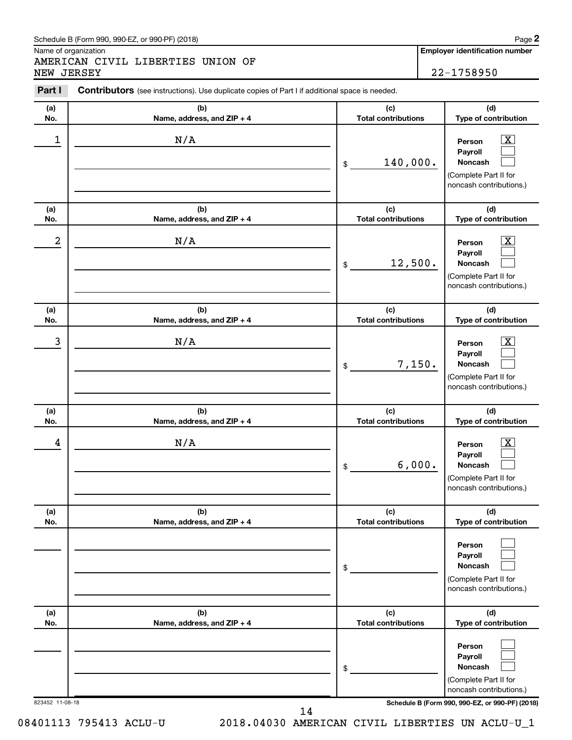#### Schedule B (Form 990, 990-EZ, or 990-PF) (2018)

Name of organization

AMERICAN CIVIL LIBERTIES UNION OF NEW JERSEY 22-1758950 **2**

| Part I           | Contributors (see instructions). Use duplicate copies of Part I if additional space is needed. |                                   |                                                                                                                                     |
|------------------|------------------------------------------------------------------------------------------------|-----------------------------------|-------------------------------------------------------------------------------------------------------------------------------------|
| (a)<br>No.       | (b)<br>Name, address, and ZIP + 4                                                              | (c)<br><b>Total contributions</b> | (d)<br>Type of contribution                                                                                                         |
| 1                | N/A                                                                                            | 140,000.<br>\$                    | $\boxed{\textbf{X}}$<br>Person<br>Payroll<br>Noncash<br>(Complete Part II for<br>noncash contributions.)                            |
| (a)<br>No.       | (b)<br>Name, address, and ZIP + 4                                                              | (c)<br><b>Total contributions</b> | (d)<br>Type of contribution                                                                                                         |
| $\boldsymbol{2}$ | N/A                                                                                            | 12,500.<br>\$                     | $\mathbf{X}$<br>Person<br>Payroll<br>Noncash<br>(Complete Part II for<br>noncash contributions.)                                    |
| (a)<br>No.       | (b)<br>Name, address, and ZIP + 4                                                              | (c)<br><b>Total contributions</b> | (d)<br>Type of contribution                                                                                                         |
| 3                | N/A                                                                                            | 7,150.<br>\$                      | $\mathbf{X}$<br>Person<br>Payroll<br>Noncash<br>(Complete Part II for<br>noncash contributions.)                                    |
| (a)<br>No.       | (b)<br>Name, address, and ZIP + 4                                                              | (c)<br><b>Total contributions</b> | (d)<br>Type of contribution                                                                                                         |
| 4                | N/A                                                                                            | 6,000.<br>\$                      | $\mathbf{X}$<br>Person<br>Payroll<br>Noncash<br>(Complete Part II for<br>noncash contributions.)                                    |
| (a)<br>No.       | (b)<br>Name, address, and ZIP + 4                                                              | (c)<br><b>Total contributions</b> | (d)<br>Type of contribution                                                                                                         |
|                  |                                                                                                | \$                                | Person<br>Payroll<br><b>Noncash</b><br>(Complete Part II for<br>noncash contributions.)                                             |
| (a)<br>No.       | (b)<br>Name, address, and ZIP + 4                                                              | (c)<br><b>Total contributions</b> | (d)<br>Type of contribution                                                                                                         |
| 823452 11-08-18  |                                                                                                | \$                                | Person<br>Payroll<br>Noncash<br>(Complete Part II for<br>noncash contributions.)<br>Schedule B (Form 990, 990-EZ, or 990-PF) (2018) |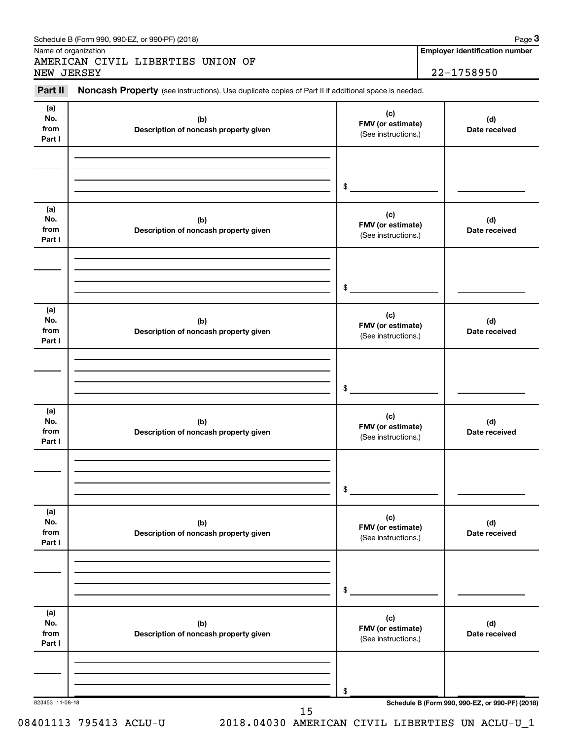| Part II<br>(a)               | Noncash Property (see instructions). Use duplicate copies of Part II if additional space is needed. | (c)                                             |                                                 |
|------------------------------|-----------------------------------------------------------------------------------------------------|-------------------------------------------------|-------------------------------------------------|
| No.<br>from<br>Part I        | (b)<br>Description of noncash property given                                                        | FMV (or estimate)<br>(See instructions.)        | (d)<br>Date received                            |
|                              |                                                                                                     | \$                                              |                                                 |
| (a)<br>No.<br>from<br>Part I | (b)<br>Description of noncash property given                                                        | (c)<br>FMV (or estimate)<br>(See instructions.) | (d)<br>Date received                            |
|                              |                                                                                                     | \$                                              |                                                 |
| (a)<br>No.<br>from<br>Part I | (b)<br>Description of noncash property given                                                        | (c)<br>FMV (or estimate)<br>(See instructions.) | (d)<br>Date received                            |
|                              |                                                                                                     | \$                                              |                                                 |
| (a)<br>No.<br>from<br>Part I | (b)<br>Description of noncash property given                                                        | (c)<br>FMV (or estimate)<br>(See instructions.) | (d)<br>Date received                            |
|                              |                                                                                                     | \$                                              |                                                 |
| (a)<br>No.<br>from<br>Part I | (b)<br>Description of noncash property given                                                        | (c)<br>FMV (or estimate)<br>(See instructions.) | (d)<br>Date received                            |
|                              |                                                                                                     | \$                                              |                                                 |
| (a)<br>No.<br>from<br>Part I | (b)<br>Description of noncash property given                                                        | (c)<br>FMV (or estimate)<br>(See instructions.) | (d)<br>Date received                            |
|                              |                                                                                                     |                                                 |                                                 |
| 823453 11-08-18              |                                                                                                     | \$                                              | Schedule B (Form 990, 990-EZ, or 990-PF) (2018) |

08401113 795413 ACLU-U 2018.04030 AMERICAN CIVIL LIBERTIES UN ACLU-U\_1

#### Schedule B (Form 990, 990-EZ, or 990-PF) (2018)

Name of organization

AMERICAN CIVIL LIBERTIES UNION OF NEW JERSEY 22-1758950

**Employer identification number**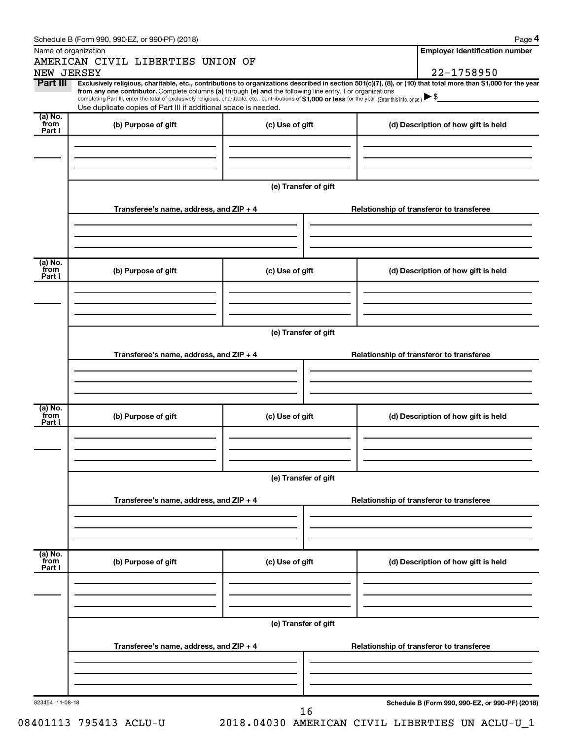|                        | Schedule B (Form 990, 990-EZ, or 990-PF) (2018)                                                                                                                                                                             |                      | Page 4                                                                                                                                                                       |  |  |  |  |  |
|------------------------|-----------------------------------------------------------------------------------------------------------------------------------------------------------------------------------------------------------------------------|----------------------|------------------------------------------------------------------------------------------------------------------------------------------------------------------------------|--|--|--|--|--|
|                        | Name of organization                                                                                                                                                                                                        |                      | <b>Employer identification number</b>                                                                                                                                        |  |  |  |  |  |
|                        | AMERICAN CIVIL LIBERTIES UNION OF                                                                                                                                                                                           |                      |                                                                                                                                                                              |  |  |  |  |  |
| NEW JERSEY<br>Part III |                                                                                                                                                                                                                             |                      | 22-1758950<br>Exclusively religious, charitable, etc., contributions to organizations described in section 501(c)(7), (8), or (10) that total more than \$1,000 for the year |  |  |  |  |  |
|                        | from any one contributor. Complete columns (a) through (e) and the following line entry. For organizations                                                                                                                  |                      |                                                                                                                                                                              |  |  |  |  |  |
|                        | completing Part III, enter the total of exclusively religious, charitable, etc., contributions of \$1,000 or less for the year. (Enter this info. once.)<br>Use duplicate copies of Part III if additional space is needed. |                      |                                                                                                                                                                              |  |  |  |  |  |
| (a) No.                |                                                                                                                                                                                                                             |                      |                                                                                                                                                                              |  |  |  |  |  |
| from<br>Part I         | (b) Purpose of gift                                                                                                                                                                                                         | (c) Use of gift      | (d) Description of how gift is held                                                                                                                                          |  |  |  |  |  |
|                        |                                                                                                                                                                                                                             |                      |                                                                                                                                                                              |  |  |  |  |  |
|                        |                                                                                                                                                                                                                             |                      |                                                                                                                                                                              |  |  |  |  |  |
|                        |                                                                                                                                                                                                                             |                      |                                                                                                                                                                              |  |  |  |  |  |
|                        |                                                                                                                                                                                                                             | (e) Transfer of gift |                                                                                                                                                                              |  |  |  |  |  |
|                        |                                                                                                                                                                                                                             |                      |                                                                                                                                                                              |  |  |  |  |  |
|                        | Transferee's name, address, and ZIP + 4                                                                                                                                                                                     |                      | Relationship of transferor to transferee                                                                                                                                     |  |  |  |  |  |
|                        |                                                                                                                                                                                                                             |                      |                                                                                                                                                                              |  |  |  |  |  |
|                        |                                                                                                                                                                                                                             |                      |                                                                                                                                                                              |  |  |  |  |  |
|                        |                                                                                                                                                                                                                             |                      |                                                                                                                                                                              |  |  |  |  |  |
| (a) No.                |                                                                                                                                                                                                                             |                      |                                                                                                                                                                              |  |  |  |  |  |
| from<br>Part I         | (b) Purpose of gift                                                                                                                                                                                                         | (c) Use of gift      | (d) Description of how gift is held                                                                                                                                          |  |  |  |  |  |
|                        |                                                                                                                                                                                                                             |                      |                                                                                                                                                                              |  |  |  |  |  |
|                        |                                                                                                                                                                                                                             |                      |                                                                                                                                                                              |  |  |  |  |  |
|                        |                                                                                                                                                                                                                             |                      |                                                                                                                                                                              |  |  |  |  |  |
|                        | (e) Transfer of gift                                                                                                                                                                                                        |                      |                                                                                                                                                                              |  |  |  |  |  |
|                        |                                                                                                                                                                                                                             |                      |                                                                                                                                                                              |  |  |  |  |  |
|                        | Transferee's name, address, and ZIP + 4                                                                                                                                                                                     |                      | Relationship of transferor to transferee                                                                                                                                     |  |  |  |  |  |
|                        |                                                                                                                                                                                                                             |                      |                                                                                                                                                                              |  |  |  |  |  |
|                        |                                                                                                                                                                                                                             |                      |                                                                                                                                                                              |  |  |  |  |  |
|                        |                                                                                                                                                                                                                             |                      |                                                                                                                                                                              |  |  |  |  |  |
| (a) No.<br>from        | (b) Purpose of gift                                                                                                                                                                                                         | (c) Use of gift      | (d) Description of how gift is held                                                                                                                                          |  |  |  |  |  |
| Part I                 |                                                                                                                                                                                                                             |                      |                                                                                                                                                                              |  |  |  |  |  |
|                        |                                                                                                                                                                                                                             |                      |                                                                                                                                                                              |  |  |  |  |  |
|                        |                                                                                                                                                                                                                             |                      |                                                                                                                                                                              |  |  |  |  |  |
|                        |                                                                                                                                                                                                                             |                      |                                                                                                                                                                              |  |  |  |  |  |
|                        | (e) Transfer of gift                                                                                                                                                                                                        |                      |                                                                                                                                                                              |  |  |  |  |  |
|                        |                                                                                                                                                                                                                             |                      |                                                                                                                                                                              |  |  |  |  |  |
|                        | Transferee's name, address, and ZIP + 4                                                                                                                                                                                     |                      | Relationship of transferor to transferee                                                                                                                                     |  |  |  |  |  |
|                        |                                                                                                                                                                                                                             |                      |                                                                                                                                                                              |  |  |  |  |  |
|                        |                                                                                                                                                                                                                             |                      |                                                                                                                                                                              |  |  |  |  |  |
|                        |                                                                                                                                                                                                                             |                      |                                                                                                                                                                              |  |  |  |  |  |
| (a) No.<br>from        | (b) Purpose of gift                                                                                                                                                                                                         | (c) Use of gift      | (d) Description of how gift is held                                                                                                                                          |  |  |  |  |  |
| Part I                 |                                                                                                                                                                                                                             |                      |                                                                                                                                                                              |  |  |  |  |  |
|                        |                                                                                                                                                                                                                             |                      |                                                                                                                                                                              |  |  |  |  |  |
|                        |                                                                                                                                                                                                                             |                      |                                                                                                                                                                              |  |  |  |  |  |
|                        |                                                                                                                                                                                                                             |                      |                                                                                                                                                                              |  |  |  |  |  |
|                        | (e) Transfer of gift                                                                                                                                                                                                        |                      |                                                                                                                                                                              |  |  |  |  |  |
|                        |                                                                                                                                                                                                                             |                      |                                                                                                                                                                              |  |  |  |  |  |
|                        | Transferee's name, address, and ZIP + 4                                                                                                                                                                                     |                      | Relationship of transferor to transferee                                                                                                                                     |  |  |  |  |  |
|                        |                                                                                                                                                                                                                             |                      |                                                                                                                                                                              |  |  |  |  |  |
|                        |                                                                                                                                                                                                                             |                      |                                                                                                                                                                              |  |  |  |  |  |
|                        |                                                                                                                                                                                                                             |                      |                                                                                                                                                                              |  |  |  |  |  |
| 823454 11-08-18        |                                                                                                                                                                                                                             |                      | Schedule B (Form 990, 990-EZ, or 990-PF) (2018)                                                                                                                              |  |  |  |  |  |
|                        |                                                                                                                                                                                                                             | 16                   |                                                                                                                                                                              |  |  |  |  |  |

08401113 795413 ACLU-U 2018.04030 AMERICAN CIVIL LIBERTIES UN ACLU-U\_1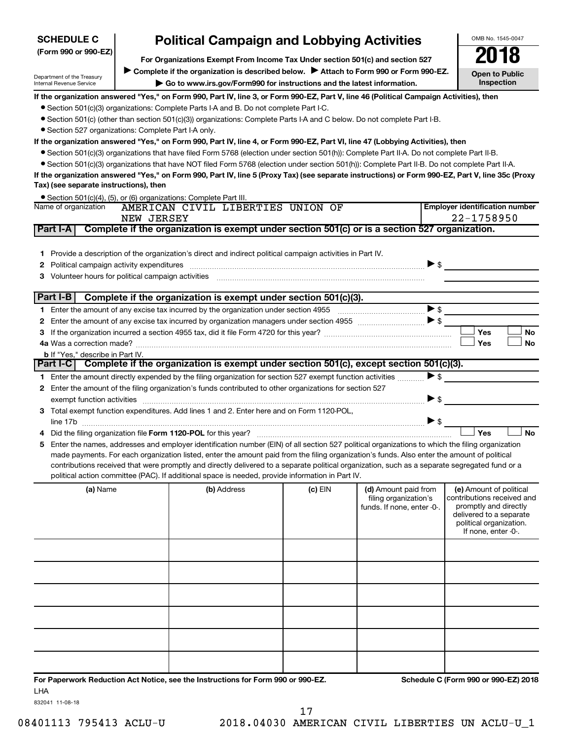| <b>SCHEDULE C</b>                                      | <b>Political Campaign and Lobbying Activities</b>                                                                                                                |                                                                                                                                                                                                                                                                               |         |                            |                          | OMB No. 1545-0047                                |
|--------------------------------------------------------|------------------------------------------------------------------------------------------------------------------------------------------------------------------|-------------------------------------------------------------------------------------------------------------------------------------------------------------------------------------------------------------------------------------------------------------------------------|---------|----------------------------|--------------------------|--------------------------------------------------|
| (Form 990 or 990-EZ)                                   |                                                                                                                                                                  |                                                                                                                                                                                                                                                                               |         |                            |                          | 2018                                             |
|                                                        | For Organizations Exempt From Income Tax Under section 501(c) and section 527                                                                                    |                                                                                                                                                                                                                                                                               |         |                            |                          |                                                  |
| Department of the Treasury<br>Internal Revenue Service | Complete if the organization is described below.<br>Attach to Form 990 or Form 990-EZ.<br>Go to www.irs.gov/Form990 for instructions and the latest information. |                                                                                                                                                                                                                                                                               |         |                            |                          | <b>Open to Public</b><br>Inspection              |
|                                                        |                                                                                                                                                                  |                                                                                                                                                                                                                                                                               |         |                            |                          |                                                  |
|                                                        |                                                                                                                                                                  | If the organization answered "Yes," on Form 990, Part IV, line 3, or Form 990-EZ, Part V, line 46 (Political Campaign Activities), then                                                                                                                                       |         |                            |                          |                                                  |
|                                                        |                                                                                                                                                                  | • Section 501(c)(3) organizations: Complete Parts I-A and B. Do not complete Part I-C.<br>• Section 501(c) (other than section 501(c)(3)) organizations: Complete Parts I-A and C below. Do not complete Part I-B.                                                            |         |                            |                          |                                                  |
| • Section 527 organizations: Complete Part I-A only.   |                                                                                                                                                                  |                                                                                                                                                                                                                                                                               |         |                            |                          |                                                  |
|                                                        |                                                                                                                                                                  |                                                                                                                                                                                                                                                                               |         |                            |                          |                                                  |
|                                                        |                                                                                                                                                                  | If the organization answered "Yes," on Form 990, Part IV, line 4, or Form 990-EZ, Part VI, line 47 (Lobbying Activities), then<br>● Section 501(c)(3) organizations that have filed Form 5768 (election under section 501(h)): Complete Part II-A. Do not complete Part II-B. |         |                            |                          |                                                  |
|                                                        |                                                                                                                                                                  | • Section 501(c)(3) organizations that have NOT filed Form 5768 (election under section 501(h)): Complete Part II-B. Do not complete Part II-A.                                                                                                                               |         |                            |                          |                                                  |
|                                                        |                                                                                                                                                                  |                                                                                                                                                                                                                                                                               |         |                            |                          |                                                  |
| Tax) (see separate instructions), then                 |                                                                                                                                                                  | If the organization answered "Yes," on Form 990, Part IV, line 5 (Proxy Tax) (see separate instructions) or Form 990-EZ, Part V, line 35c (Proxy                                                                                                                              |         |                            |                          |                                                  |
|                                                        |                                                                                                                                                                  | • Section 501(c)(4), (5), or (6) organizations: Complete Part III.                                                                                                                                                                                                            |         |                            |                          |                                                  |
| Name of organization                                   |                                                                                                                                                                  | AMERICAN CIVIL LIBERTIES UNION OF                                                                                                                                                                                                                                             |         |                            |                          | <b>Employer identification number</b>            |
|                                                        | NEW JERSEY                                                                                                                                                       |                                                                                                                                                                                                                                                                               |         |                            |                          | 22-1758950                                       |
| Part I-A                                               |                                                                                                                                                                  | Complete if the organization is exempt under section 501(c) or is a section 527 organization.                                                                                                                                                                                 |         |                            |                          |                                                  |
|                                                        |                                                                                                                                                                  |                                                                                                                                                                                                                                                                               |         |                            |                          |                                                  |
| Part I-B                                               |                                                                                                                                                                  | Complete if the organization is exempt under section 501(c)(3).                                                                                                                                                                                                               |         |                            |                          |                                                  |
|                                                        |                                                                                                                                                                  |                                                                                                                                                                                                                                                                               |         |                            | $\blacktriangleright$ \$ |                                                  |
|                                                        |                                                                                                                                                                  |                                                                                                                                                                                                                                                                               |         |                            | $\blacktriangleright$ \$ |                                                  |
|                                                        |                                                                                                                                                                  |                                                                                                                                                                                                                                                                               |         |                            |                          | Yes<br>No                                        |
|                                                        |                                                                                                                                                                  |                                                                                                                                                                                                                                                                               |         |                            |                          | Yes<br>No                                        |
| <b>b</b> If "Yes," describe in Part IV.                |                                                                                                                                                                  |                                                                                                                                                                                                                                                                               |         |                            |                          |                                                  |
|                                                        |                                                                                                                                                                  | Part I-C   Complete if the organization is exempt under section 501(c), except section 501(c)(3).                                                                                                                                                                             |         |                            |                          |                                                  |
| 1.                                                     |                                                                                                                                                                  | Enter the amount directly expended by the filing organization for section 527 exempt function activities                                                                                                                                                                      |         |                            | $\blacktriangleright$ \$ |                                                  |
|                                                        |                                                                                                                                                                  | 2 Enter the amount of the filing organization's funds contributed to other organizations for section 527                                                                                                                                                                      |         |                            |                          |                                                  |
|                                                        |                                                                                                                                                                  | exempt function activities [1111] www.material.com/material.com/material.com/material.com/material.com/material.com/material.com/material.com/material.com/material.com/material.com/material.com/material.com/material.com/ma                                                |         |                            | $\blacktriangleright$ \$ |                                                  |
|                                                        |                                                                                                                                                                  | 3 Total exempt function expenditures. Add lines 1 and 2. Enter here and on Form 1120-POL,                                                                                                                                                                                     |         |                            |                          |                                                  |
| line 17b                                               |                                                                                                                                                                  |                                                                                                                                                                                                                                                                               |         |                            | $\blacktriangleright$ \$ |                                                  |
|                                                        |                                                                                                                                                                  |                                                                                                                                                                                                                                                                               |         |                            |                          | Yes<br><b>No</b>                                 |
|                                                        |                                                                                                                                                                  | Enter the names, addresses and employer identification number (EIN) of all section 527 political organizations to which the filing organization                                                                                                                               |         |                            |                          |                                                  |
|                                                        |                                                                                                                                                                  | made payments. For each organization listed, enter the amount paid from the filing organization's funds. Also enter the amount of political                                                                                                                                   |         |                            |                          |                                                  |
|                                                        |                                                                                                                                                                  | contributions received that were promptly and directly delivered to a separate political organization, such as a separate segregated fund or a                                                                                                                                |         |                            |                          |                                                  |
|                                                        |                                                                                                                                                                  | political action committee (PAC). If additional space is needed, provide information in Part IV.                                                                                                                                                                              |         |                            |                          |                                                  |
| (a) Name                                               |                                                                                                                                                                  | (b) Address                                                                                                                                                                                                                                                                   | (c) EIN | (d) Amount paid from       |                          | (e) Amount of political                          |
|                                                        |                                                                                                                                                                  |                                                                                                                                                                                                                                                                               |         | filing organization's      |                          | contributions received and                       |
|                                                        |                                                                                                                                                                  |                                                                                                                                                                                                                                                                               |         | funds. If none, enter -0-. |                          | promptly and directly<br>delivered to a separate |
|                                                        |                                                                                                                                                                  |                                                                                                                                                                                                                                                                               |         |                            |                          | political organization.                          |
|                                                        |                                                                                                                                                                  |                                                                                                                                                                                                                                                                               |         |                            |                          | If none, enter -0-.                              |

|  |  | political organization.<br>If none, enter -0-. |
|--|--|------------------------------------------------|
|  |  |                                                |
|  |  |                                                |
|  |  |                                                |
|  |  |                                                |
|  |  |                                                |
|  |  |                                                |

**For Paperwork Reduction Act Notice, see the Instructions for Form 990 or 990-EZ. Schedule C (Form 990 or 990-EZ) 2018** LHA

832041 11-08-18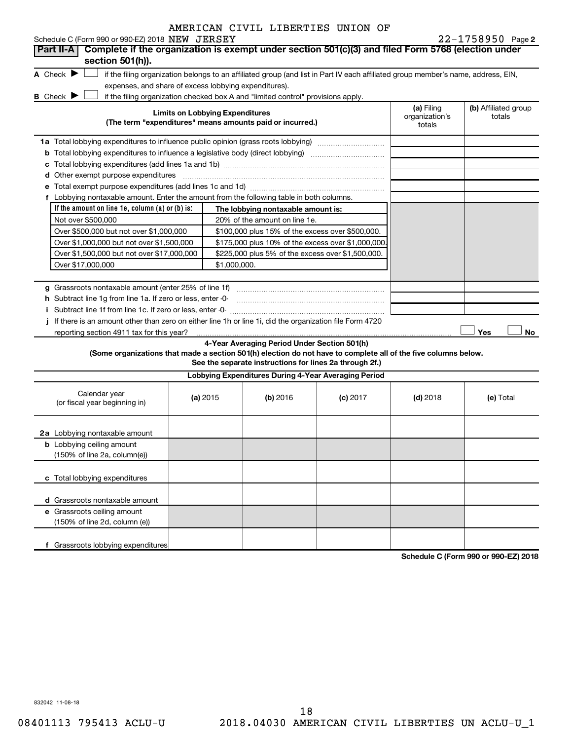| Schedule C (Form 990 or 990-EZ) 2018 NEW JERSEY                                                                                                                    |                                                                                   |                                                         |            |            | $22 - 1758950$ Page 2 |  |
|--------------------------------------------------------------------------------------------------------------------------------------------------------------------|-----------------------------------------------------------------------------------|---------------------------------------------------------|------------|------------|-----------------------|--|
| Complete if the organization is exempt under section 501(c)(3) and filed Form 5768 (election under<br><b>Part II-A</b>                                             |                                                                                   |                                                         |            |            |                       |  |
| section 501(h)).                                                                                                                                                   |                                                                                   |                                                         |            |            |                       |  |
| A Check $\blacktriangleright$<br>if the filing organization belongs to an affiliated group (and list in Part IV each affiliated group member's name, address, EIN, |                                                                                   |                                                         |            |            |                       |  |
| expenses, and share of excess lobbying expenditures).                                                                                                              |                                                                                   |                                                         |            |            |                       |  |
| <b>B</b> Check $\blacktriangleright$<br>if the filing organization checked box A and "limited control" provisions apply.<br><b>Limits on Lobbying Expenditures</b> | (a) Filing<br>organization's                                                      | (b) Affiliated group<br>totals                          |            |            |                       |  |
| (The term "expenditures" means amounts paid or incurred.)                                                                                                          | totals                                                                            |                                                         |            |            |                       |  |
|                                                                                                                                                                    | 1a Total lobbying expenditures to influence public opinion (grass roots lobbying) |                                                         |            |            |                       |  |
|                                                                                                                                                                    |                                                                                   |                                                         |            |            |                       |  |
|                                                                                                                                                                    |                                                                                   |                                                         |            |            |                       |  |
| d Other exempt purpose expenditures                                                                                                                                |                                                                                   |                                                         |            |            |                       |  |
|                                                                                                                                                                    |                                                                                   |                                                         |            |            |                       |  |
| f Lobbying nontaxable amount. Enter the amount from the following table in both columns.                                                                           |                                                                                   |                                                         |            |            |                       |  |
| If the amount on line $1e$ , column $(a)$ or $(b)$ is:                                                                                                             |                                                                                   | The lobbying nontaxable amount is:                      |            |            |                       |  |
| Not over \$500,000                                                                                                                                                 |                                                                                   | 20% of the amount on line 1e.                           |            |            |                       |  |
| Over \$500,000 but not over \$1,000,000                                                                                                                            |                                                                                   | \$100,000 plus 15% of the excess over \$500,000.        |            |            |                       |  |
| Over \$1,000,000 but not over \$1,500,000                                                                                                                          |                                                                                   | \$175,000 plus 10% of the excess over \$1,000,000       |            |            |                       |  |
| Over \$1,500,000 but not over \$17,000,000                                                                                                                         |                                                                                   | \$225,000 plus 5% of the excess over \$1,500,000.       |            |            |                       |  |
| Over \$17,000,000                                                                                                                                                  | \$1,000,000.                                                                      |                                                         |            |            |                       |  |
|                                                                                                                                                                    |                                                                                   |                                                         |            |            |                       |  |
| g Grassroots nontaxable amount (enter 25% of line 1f)                                                                                                              |                                                                                   |                                                         |            |            |                       |  |
| h Subtract line 1g from line 1a. If zero or less, enter -0-                                                                                                        |                                                                                   |                                                         |            |            |                       |  |
|                                                                                                                                                                    |                                                                                   |                                                         |            |            |                       |  |
| j If there is an amount other than zero on either line 1h or line 1i, did the organization file Form 4720                                                          |                                                                                   |                                                         |            |            |                       |  |
| reporting section 4911 tax for this year?                                                                                                                          |                                                                                   |                                                         |            |            | Yes<br>No             |  |
|                                                                                                                                                                    |                                                                                   | 4-Year Averaging Period Under Section 501(h)            |            |            |                       |  |
| (Some organizations that made a section 501(h) election do not have to complete all of the five columns below.                                                     |                                                                                   |                                                         |            |            |                       |  |
|                                                                                                                                                                    |                                                                                   | See the separate instructions for lines 2a through 2f.) |            |            |                       |  |
|                                                                                                                                                                    |                                                                                   | Lobbying Expenditures During 4-Year Averaging Period    |            |            |                       |  |
| Calendar year<br>(or fiscal year beginning in)                                                                                                                     | (a) 2015                                                                          | (b) 2016                                                | $(c)$ 2017 | $(d)$ 2018 | (e) Total             |  |
| 2a Lobbying nontaxable amount                                                                                                                                      |                                                                                   |                                                         |            |            |                       |  |
| <b>b</b> Lobbying ceiling amount                                                                                                                                   |                                                                                   |                                                         |            |            |                       |  |
| (150% of line 2a, column(e))                                                                                                                                       |                                                                                   |                                                         |            |            |                       |  |
| c Total lobbying expenditures                                                                                                                                      |                                                                                   |                                                         |            |            |                       |  |
| d Grassroots nontaxable amount                                                                                                                                     |                                                                                   |                                                         |            |            |                       |  |
| e Grassroots ceiling amount                                                                                                                                        |                                                                                   |                                                         |            |            |                       |  |
| (150% of line 2d, column (e))                                                                                                                                      |                                                                                   |                                                         |            |            |                       |  |
| f Grassroots lobbying expenditures                                                                                                                                 |                                                                                   |                                                         |            |            |                       |  |

**Schedule C (Form 990 or 990-EZ) 2018**

832042 11-08-18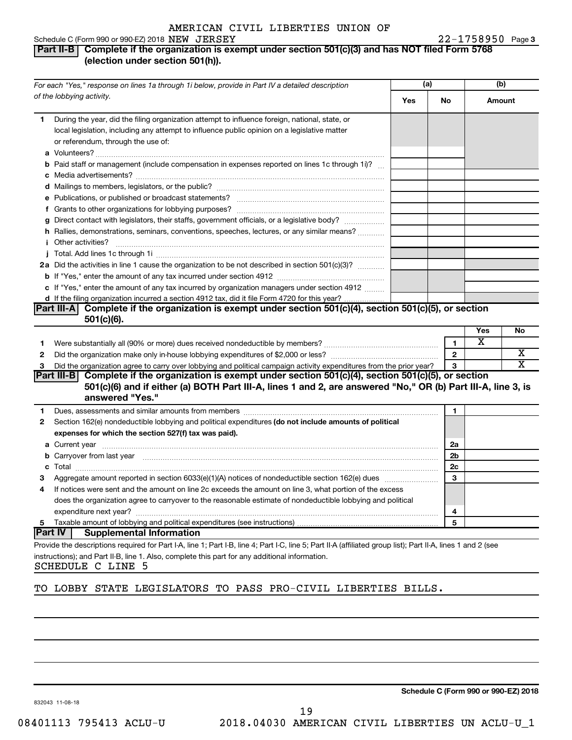#### Schedule C (Form 990 or 990-EZ) 2018  $NEW$   $JERSEY$   $22-1758950$  Page

#### 22-1758950 Page 3

#### **Part II-B Complete if the organization is exempt under section 501(c)(3) and has NOT filed Form 5768 (election under section 501(h)).**

|              | For each "Yes," response on lines 1a through 1i below, provide in Part IV a detailed description                                                                                                                                                  |     | (a)          |        | (b) |  |
|--------------|---------------------------------------------------------------------------------------------------------------------------------------------------------------------------------------------------------------------------------------------------|-----|--------------|--------|-----|--|
|              | of the lobbying activity.                                                                                                                                                                                                                         | Yes | No           | Amount |     |  |
| 1            | During the year, did the filing organization attempt to influence foreign, national, state, or<br>local legislation, including any attempt to influence public opinion on a legislative matter<br>or referendum, through the use of:              |     |              |        |     |  |
|              | <b>b</b> Paid staff or management (include compensation in expenses reported on lines 1c through 1i)?                                                                                                                                             |     |              |        |     |  |
|              |                                                                                                                                                                                                                                                   |     |              |        |     |  |
|              |                                                                                                                                                                                                                                                   |     |              |        |     |  |
|              |                                                                                                                                                                                                                                                   |     |              |        |     |  |
|              | g Direct contact with legislators, their staffs, government officials, or a legislative body?                                                                                                                                                     |     |              |        |     |  |
|              | h Rallies, demonstrations, seminars, conventions, speeches, lectures, or any similar means?                                                                                                                                                       |     |              |        |     |  |
|              |                                                                                                                                                                                                                                                   |     |              |        |     |  |
|              | 2a Did the activities in line 1 cause the organization to be not described in section 501(c)(3)?                                                                                                                                                  |     |              |        |     |  |
|              |                                                                                                                                                                                                                                                   |     |              |        |     |  |
|              | c If "Yes," enter the amount of any tax incurred by organization managers under section 4912                                                                                                                                                      |     |              |        |     |  |
|              | d If the filing organization incurred a section 4912 tax, did it file Form 4720 for this year?                                                                                                                                                    |     |              |        |     |  |
|              | Part III-A Complete if the organization is exempt under section 501(c)(4), section 501(c)(5), or section<br>$501(c)(6)$ .                                                                                                                         |     |              |        |     |  |
|              |                                                                                                                                                                                                                                                   |     |              | Yes    | No  |  |
| 1.           |                                                                                                                                                                                                                                                   |     | 1            | x      |     |  |
| 2            |                                                                                                                                                                                                                                                   |     | $\mathbf{2}$ |        | х   |  |
| 3            | Did the organization agree to carry over lobbying and political campaign activity expenditures from the prior year?                                                                                                                               |     | 3            |        | х   |  |
|              | Part III-B Complete if the organization is exempt under section $501(c)(4)$ , section $501(c)(5)$ , or section<br>501(c)(6) and if either (a) BOTH Part III-A, lines 1 and 2, are answered "No," OR (b) Part III-A, line 3, is<br>answered "Yes." |     |              |        |     |  |
| 1            | Dues, assessments and similar amounts from members [11] matter contracts and similar amounts from members [11] matter contracts and similar amounts from members [11] matter contracts and similar amounts from members [11] m                    |     | 1            |        |     |  |
| $\mathbf{2}$ | Section 162(e) nondeductible lobbying and political expenditures (do not include amounts of political                                                                                                                                             |     |              |        |     |  |
|              | expenses for which the section 527(f) tax was paid).                                                                                                                                                                                              |     |              |        |     |  |
|              |                                                                                                                                                                                                                                                   |     | 2a           |        |     |  |
|              | <b>b</b> Carryover from last year manufactured and content to content the content of the content of the content of the content of the content of the content of the content of the content of the content of the content of the con               |     | 2b           |        |     |  |
|              |                                                                                                                                                                                                                                                   |     | 2c           |        |     |  |
| 3            |                                                                                                                                                                                                                                                   |     | 3            |        |     |  |
| 4            | If notices were sent and the amount on line 2c exceeds the amount on line 3, what portion of the excess                                                                                                                                           |     |              |        |     |  |
|              | does the organization agree to carryover to the reasonable estimate of nondeductible lobbying and political                                                                                                                                       |     |              |        |     |  |
|              |                                                                                                                                                                                                                                                   |     | 4            |        |     |  |
| 5            |                                                                                                                                                                                                                                                   |     | 5            |        |     |  |
|              | Part IV <br><b>Supplemental Information</b>                                                                                                                                                                                                       |     |              |        |     |  |
|              | Provide the descriptions required for Part I-A, line 1; Part I-B, line 4; Part I-C, line 5; Part II-A (affiliated group list); Part II-A, lines 1 and 2 (see                                                                                      |     |              |        |     |  |
|              | instructions); and Part II-B, line 1. Also, complete this part for any additional information.                                                                                                                                                    |     |              |        |     |  |

SCHEDULE C LINE 5

#### TO LOBBY STATE LEGISLATORS TO PASS PRO-CIVIL LIBERTIES BILLS.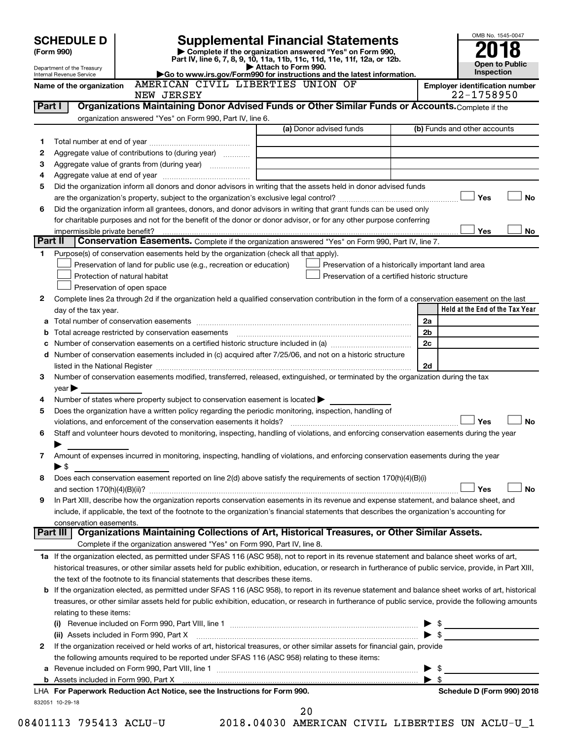# **SCHEDULE D Supplemental Financial Statements**<br> **Form 990 2018**<br> **Part IV** line 6.7.8.9.10, 11a, 11b, 11d, 11d, 11d, 11d, 11d, 12a, 0r, 12b

**(Form 990) | Complete if the organization answered "Yes" on Form 990, Part IV, line 6, 7, 8, 9, 10, 11a, 11b, 11c, 11d, 11e, 11f, 12a, or 12b.**

OMB No. 1545-0047 **Open to Public Inspection**

Department of the Treasury Internal Revenue Service

|  |  | Attach to Form 990.                                                    |  |  |  |
|--|--|------------------------------------------------------------------------|--|--|--|
|  |  | Go to www.irs.gov/Form990 for instructions and the latest information. |  |  |  |
|  |  |                                                                        |  |  |  |

Name of the organization AMERICAN CIVIL LIBERTIES UNION OF **And American** alentification number

|         | NEW JERSEY                                                                                                                                                |                                                                                                      | 22-1758950                      |
|---------|-----------------------------------------------------------------------------------------------------------------------------------------------------------|------------------------------------------------------------------------------------------------------|---------------------------------|
| Part I  | Organizations Maintaining Donor Advised Funds or Other Similar Funds or Accounts. Complete if the                                                         |                                                                                                      |                                 |
|         | organization answered "Yes" on Form 990, Part IV, line 6.                                                                                                 |                                                                                                      |                                 |
|         |                                                                                                                                                           | (a) Donor advised funds                                                                              | (b) Funds and other accounts    |
| 1.      |                                                                                                                                                           |                                                                                                      |                                 |
| 2       | Aggregate value of contributions to (during year)                                                                                                         |                                                                                                      |                                 |
| З       | Aggregate value of grants from (during year)                                                                                                              |                                                                                                      |                                 |
| 4       |                                                                                                                                                           |                                                                                                      |                                 |
| 5       | Did the organization inform all donors and donor advisors in writing that the assets held in donor advised funds                                          |                                                                                                      |                                 |
|         |                                                                                                                                                           |                                                                                                      | Yes<br>No                       |
| 6       | Did the organization inform all grantees, donors, and donor advisors in writing that grant funds can be used only                                         |                                                                                                      |                                 |
|         | for charitable purposes and not for the benefit of the donor or donor advisor, or for any other purpose conferring                                        |                                                                                                      |                                 |
|         | impermissible private benefit?                                                                                                                            |                                                                                                      | Yes<br>No                       |
| Part II | Conservation Easements. Complete if the organization answered "Yes" on Form 990, Part IV, line 7.                                                         |                                                                                                      |                                 |
| 1.      | Purpose(s) of conservation easements held by the organization (check all that apply).                                                                     |                                                                                                      |                                 |
|         | Preservation of land for public use (e.g., recreation or education)                                                                                       |                                                                                                      |                                 |
|         | Protection of natural habitat                                                                                                                             | Preservation of a historically important land area<br>Preservation of a certified historic structure |                                 |
|         | Preservation of open space                                                                                                                                |                                                                                                      |                                 |
|         |                                                                                                                                                           |                                                                                                      |                                 |
| 2       | Complete lines 2a through 2d if the organization held a qualified conservation contribution in the form of a conservation easement on the last            |                                                                                                      |                                 |
|         | day of the tax year.                                                                                                                                      |                                                                                                      | Held at the End of the Tax Year |
|         |                                                                                                                                                           |                                                                                                      | 2a                              |
|         | <b>b</b> Total acreage restricted by conservation easements <i>manual conservation conservation</i> conservation conservation                             |                                                                                                      | 2b                              |
|         | Number of conservation easements on a certified historic structure included in (a) manufacture included in (a)                                            |                                                                                                      | 2c                              |
|         | d Number of conservation easements included in (c) acquired after 7/25/06, and not on a historic structure                                                |                                                                                                      |                                 |
|         | listed in the National Register [11, 1200] [12] The National Register [11, 1200] [12] The National Register [1                                            |                                                                                                      | 2d                              |
| 3       | Number of conservation easements modified, transferred, released, extinguished, or terminated by the organization during the tax                          |                                                                                                      |                                 |
|         | $year \triangleright$                                                                                                                                     |                                                                                                      |                                 |
| 4       | Number of states where property subject to conservation easement is located >                                                                             |                                                                                                      |                                 |
| 5       | Does the organization have a written policy regarding the periodic monitoring, inspection, handling of                                                    |                                                                                                      |                                 |
|         | violations, and enforcement of the conservation easements it holds?                                                                                       |                                                                                                      | Yes<br>No                       |
| 6       | Staff and volunteer hours devoted to monitoring, inspecting, handling of violations, and enforcing conservation easements during the year                 |                                                                                                      |                                 |
|         |                                                                                                                                                           |                                                                                                      |                                 |
| 7       | Amount of expenses incurred in monitoring, inspecting, handling of violations, and enforcing conservation easements during the year                       |                                                                                                      |                                 |
|         | $\blacktriangleright$ \$                                                                                                                                  |                                                                                                      |                                 |
| 8       | Does each conservation easement reported on line 2(d) above satisfy the requirements of section 170(h)(4)(B)(i)                                           |                                                                                                      |                                 |
|         |                                                                                                                                                           |                                                                                                      | Yes<br>No                       |
| 9       | In Part XIII, describe how the organization reports conservation easements in its revenue and expense statement, and balance sheet, and                   |                                                                                                      |                                 |
|         | include, if applicable, the text of the footnote to the organization's financial statements that describes the organization's accounting for              |                                                                                                      |                                 |
|         | conservation easements.                                                                                                                                   |                                                                                                      |                                 |
|         | Organizations Maintaining Collections of Art, Historical Treasures, or Other Similar Assets.<br>Part III                                                  |                                                                                                      |                                 |
|         | Complete if the organization answered "Yes" on Form 990, Part IV, line 8.                                                                                 |                                                                                                      |                                 |
|         | 1a If the organization elected, as permitted under SFAS 116 (ASC 958), not to report in its revenue statement and balance sheet works of art,             |                                                                                                      |                                 |
|         | historical treasures, or other similar assets held for public exhibition, education, or research in furtherance of public service, provide, in Part XIII, |                                                                                                      |                                 |
|         | the text of the footnote to its financial statements that describes these items.                                                                          |                                                                                                      |                                 |
|         | b If the organization elected, as permitted under SFAS 116 (ASC 958), to report in its revenue statement and balance sheet works of art, historical       |                                                                                                      |                                 |
|         | treasures, or other similar assets held for public exhibition, education, or research in furtherance of public service, provide the following amounts     |                                                                                                      |                                 |
|         | relating to these items:                                                                                                                                  |                                                                                                      |                                 |
|         |                                                                                                                                                           |                                                                                                      |                                 |
|         | (ii) Assets included in Form 990, Part X [11] Marten and Martin Martin Marten and Martin Martin Marten and Mar                                            |                                                                                                      | $\blacktriangleright$ s         |
| 2       | If the organization received or held works of art, historical treasures, or other similar assets for financial gain, provide                              |                                                                                                      |                                 |
|         | the following amounts required to be reported under SFAS 116 (ASC 958) relating to these items:                                                           |                                                                                                      |                                 |
|         |                                                                                                                                                           |                                                                                                      | \$                              |
|         | b Assets included in Form 990, Part X [[CONDITED INTERNATION IN ASSETS INCLUDED IN A SSET STATE IN A SET STATES                                           |                                                                                                      | - \$<br>▶                       |
|         | LHA For Paperwork Reduction Act Notice, see the Instructions for Form 990.                                                                                |                                                                                                      | Schedule D (Form 990) 2018      |
|         | 832051 10-29-18                                                                                                                                           |                                                                                                      |                                 |

08401113 795413 ACLU-U 2018.04030 AMERICAN CIVIL LIBERTIES UN ACLU-U\_1 20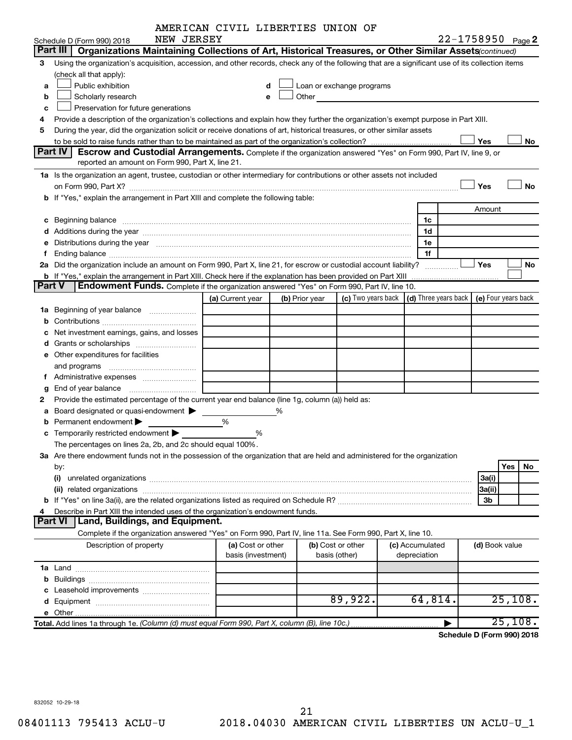| AMERICAN CIVIL LIBERTIES UNION OF |  |  |
|-----------------------------------|--|--|
|-----------------------------------|--|--|

|               |                                                                                                                                                                                                                                | AMERICAN CIVIL LIBERTIES UNION OF |   |                |                                                                                                                                                                                                                               |                                                         |                |                     |
|---------------|--------------------------------------------------------------------------------------------------------------------------------------------------------------------------------------------------------------------------------|-----------------------------------|---|----------------|-------------------------------------------------------------------------------------------------------------------------------------------------------------------------------------------------------------------------------|---------------------------------------------------------|----------------|---------------------|
|               | NEW JERSEY<br>Schedule D (Form 990) 2018                                                                                                                                                                                       |                                   |   |                |                                                                                                                                                                                                                               |                                                         |                | 22-1758950 Page 2   |
|               | Part III<br>Organizations Maintaining Collections of Art, Historical Treasures, or Other Similar Assets (continued)                                                                                                            |                                   |   |                |                                                                                                                                                                                                                               |                                                         |                |                     |
| З             | Using the organization's acquisition, accession, and other records, check any of the following that are a significant use of its collection items                                                                              |                                   |   |                |                                                                                                                                                                                                                               |                                                         |                |                     |
|               | (check all that apply):                                                                                                                                                                                                        |                                   |   |                |                                                                                                                                                                                                                               |                                                         |                |                     |
| a             | Public exhibition                                                                                                                                                                                                              | d                                 |   |                | Loan or exchange programs                                                                                                                                                                                                     |                                                         |                |                     |
| b             | Scholarly research                                                                                                                                                                                                             | e                                 |   |                | Other and the contract of the contract of the contract of the contract of the contract of the contract of the contract of the contract of the contract of the contract of the contract of the contract of the contract of the |                                                         |                |                     |
| c             | Preservation for future generations                                                                                                                                                                                            |                                   |   |                |                                                                                                                                                                                                                               |                                                         |                |                     |
| 4             | Provide a description of the organization's collections and explain how they further the organization's exempt purpose in Part XIII.                                                                                           |                                   |   |                |                                                                                                                                                                                                                               |                                                         |                |                     |
| 5             | During the year, did the organization solicit or receive donations of art, historical treasures, or other similar assets                                                                                                       |                                   |   |                |                                                                                                                                                                                                                               |                                                         |                |                     |
|               |                                                                                                                                                                                                                                |                                   |   |                |                                                                                                                                                                                                                               |                                                         | Yes            | No                  |
|               | Part IV<br>Escrow and Custodial Arrangements. Complete if the organization answered "Yes" on Form 990, Part IV, line 9, or                                                                                                     |                                   |   |                |                                                                                                                                                                                                                               |                                                         |                |                     |
|               | reported an amount on Form 990, Part X, line 21.                                                                                                                                                                               |                                   |   |                |                                                                                                                                                                                                                               |                                                         |                |                     |
|               | 1a Is the organization an agent, trustee, custodian or other intermediary for contributions or other assets not included                                                                                                       |                                   |   |                |                                                                                                                                                                                                                               |                                                         |                |                     |
|               |                                                                                                                                                                                                                                |                                   |   |                |                                                                                                                                                                                                                               |                                                         | Yes            | <b>No</b>           |
|               | on Form 990, Part X? [11] matter contracts and contracts and contracts are contracted as a form 990, Part X?<br>b If "Yes," explain the arrangement in Part XIII and complete the following table:                             |                                   |   |                |                                                                                                                                                                                                                               |                                                         |                |                     |
|               |                                                                                                                                                                                                                                |                                   |   |                |                                                                                                                                                                                                                               |                                                         |                |                     |
|               |                                                                                                                                                                                                                                |                                   |   |                |                                                                                                                                                                                                                               |                                                         | Amount         |                     |
|               | c Beginning balance                                                                                                                                                                                                            |                                   |   |                |                                                                                                                                                                                                                               | 1c                                                      |                |                     |
|               |                                                                                                                                                                                                                                |                                   |   |                |                                                                                                                                                                                                                               | 1d                                                      |                |                     |
|               | e Distributions during the year manufactured and an intervention of the year manufactured by the state of the state of the state of the state of the state of the state of the state of the state of the state of the state of |                                   |   |                |                                                                                                                                                                                                                               | 1е                                                      |                |                     |
| Ť.            |                                                                                                                                                                                                                                |                                   |   |                |                                                                                                                                                                                                                               | 1f                                                      |                |                     |
|               | 2a Did the organization include an amount on Form 990, Part X, line 21, for escrow or custodial account liability?                                                                                                             |                                   |   |                |                                                                                                                                                                                                                               | .                                                       | Yes            | No                  |
|               |                                                                                                                                                                                                                                |                                   |   |                |                                                                                                                                                                                                                               |                                                         |                |                     |
| <b>Part V</b> | Endowment Funds. Complete if the organization answered "Yes" on Form 990, Part IV, line 10.                                                                                                                                    |                                   |   |                |                                                                                                                                                                                                                               |                                                         |                |                     |
|               |                                                                                                                                                                                                                                | (a) Current year                  |   | (b) Prior year |                                                                                                                                                                                                                               | (c) Two years back $\vert$ (d) Three years back $\vert$ |                | (e) Four years back |
|               | 1a Beginning of year balance                                                                                                                                                                                                   |                                   |   |                |                                                                                                                                                                                                                               |                                                         |                |                     |
| b             |                                                                                                                                                                                                                                |                                   |   |                |                                                                                                                                                                                                                               |                                                         |                |                     |
| c             | Net investment earnings, gains, and losses                                                                                                                                                                                     |                                   |   |                |                                                                                                                                                                                                                               |                                                         |                |                     |
|               |                                                                                                                                                                                                                                |                                   |   |                |                                                                                                                                                                                                                               |                                                         |                |                     |
|               | <b>e</b> Other expenditures for facilities                                                                                                                                                                                     |                                   |   |                |                                                                                                                                                                                                                               |                                                         |                |                     |
|               |                                                                                                                                                                                                                                |                                   |   |                |                                                                                                                                                                                                                               |                                                         |                |                     |
|               |                                                                                                                                                                                                                                |                                   |   |                |                                                                                                                                                                                                                               |                                                         |                |                     |
|               |                                                                                                                                                                                                                                |                                   |   |                |                                                                                                                                                                                                                               |                                                         |                |                     |
| g             |                                                                                                                                                                                                                                |                                   |   |                |                                                                                                                                                                                                                               |                                                         |                |                     |
| 2             | Provide the estimated percentage of the current year end balance (line 1g, column (a)) held as:                                                                                                                                |                                   |   |                |                                                                                                                                                                                                                               |                                                         |                |                     |
| а             | Board designated or quasi-endowment >                                                                                                                                                                                          |                                   | % |                |                                                                                                                                                                                                                               |                                                         |                |                     |
| b             | Permanent endowment                                                                                                                                                                                                            | %                                 |   |                |                                                                                                                                                                                                                               |                                                         |                |                     |
|               | <b>c</b> Temporarily restricted endowment $\blacktriangleright$                                                                                                                                                                | %                                 |   |                |                                                                                                                                                                                                                               |                                                         |                |                     |
|               | The percentages on lines 2a, 2b, and 2c should equal 100%.                                                                                                                                                                     |                                   |   |                |                                                                                                                                                                                                                               |                                                         |                |                     |
|               | 3a Are there endowment funds not in the possession of the organization that are held and administered for the organization                                                                                                     |                                   |   |                |                                                                                                                                                                                                                               |                                                         |                |                     |
|               | by:                                                                                                                                                                                                                            |                                   |   |                |                                                                                                                                                                                                                               |                                                         |                | Yes<br>No           |
|               |                                                                                                                                                                                                                                |                                   |   |                |                                                                                                                                                                                                                               |                                                         | 3a(i)          |                     |
|               |                                                                                                                                                                                                                                |                                   |   |                |                                                                                                                                                                                                                               |                                                         | 3a(ii)         |                     |
|               |                                                                                                                                                                                                                                |                                   |   |                |                                                                                                                                                                                                                               |                                                         | 3b             |                     |
| 4             | Describe in Part XIII the intended uses of the organization's endowment funds.                                                                                                                                                 |                                   |   |                |                                                                                                                                                                                                                               |                                                         |                |                     |
|               | Land, Buildings, and Equipment.<br>Part VI                                                                                                                                                                                     |                                   |   |                |                                                                                                                                                                                                                               |                                                         |                |                     |
|               | Complete if the organization answered "Yes" on Form 990, Part IV, line 11a. See Form 990, Part X, line 10.                                                                                                                     |                                   |   |                |                                                                                                                                                                                                                               |                                                         |                |                     |
|               | Description of property                                                                                                                                                                                                        | (a) Cost or other                 |   |                | (b) Cost or other                                                                                                                                                                                                             | (c) Accumulated                                         | (d) Book value |                     |
|               |                                                                                                                                                                                                                                | basis (investment)                |   |                | basis (other)                                                                                                                                                                                                                 | depreciation                                            |                |                     |
|               |                                                                                                                                                                                                                                |                                   |   |                |                                                                                                                                                                                                                               |                                                         |                |                     |
|               |                                                                                                                                                                                                                                |                                   |   |                |                                                                                                                                                                                                                               |                                                         |                |                     |
|               | Leasehold improvements                                                                                                                                                                                                         |                                   |   |                |                                                                                                                                                                                                                               |                                                         |                |                     |
|               |                                                                                                                                                                                                                                |                                   |   |                | 89,922.                                                                                                                                                                                                                       | 64,814.                                                 |                | 25,108.             |
|               |                                                                                                                                                                                                                                |                                   |   |                |                                                                                                                                                                                                                               |                                                         |                |                     |
|               |                                                                                                                                                                                                                                |                                   |   |                |                                                                                                                                                                                                                               |                                                         |                | 25,108.             |
|               | Total. Add lines 1a through 1e. (Column (d) must equal Form 990, Part X, column (B), line 10c.).                                                                                                                               |                                   |   |                |                                                                                                                                                                                                                               |                                                         |                |                     |

**Schedule D (Form 990) 2018**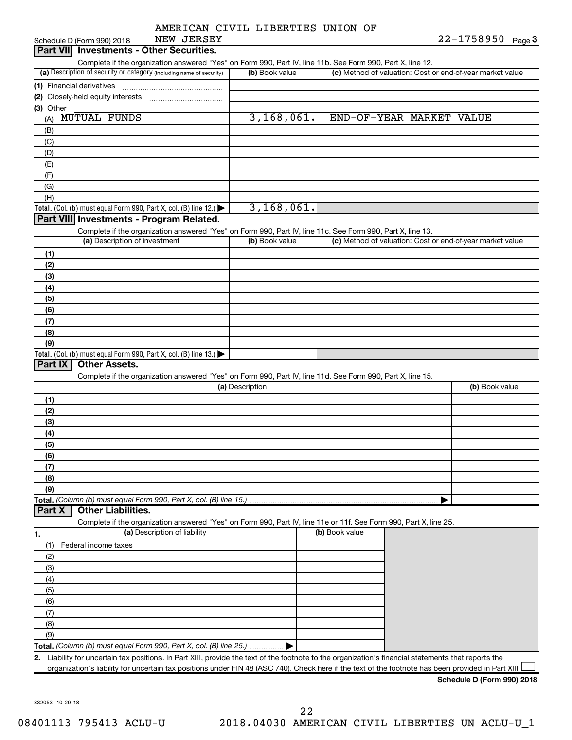|  | AMERICAN CIVIL LIBERTIES UNION OF |  |
|--|-----------------------------------|--|
|  |                                   |  |

| NEW JERSEY<br>Schedule D (Form 990) 2018                                                                                                             |                 |                          | 22-1758950 Page 3                                         |
|------------------------------------------------------------------------------------------------------------------------------------------------------|-----------------|--------------------------|-----------------------------------------------------------|
| <b>Investments - Other Securities.</b><br>Part VII                                                                                                   |                 |                          |                                                           |
| Complete if the organization answered "Yes" on Form 990, Part IV, line 11b. See Form 990, Part X, line 12.                                           |                 |                          |                                                           |
| (a) Description of security or category (including name of security)                                                                                 | (b) Book value  |                          | (c) Method of valuation: Cost or end-of-year market value |
| (1) Financial derivatives                                                                                                                            |                 |                          |                                                           |
|                                                                                                                                                      |                 |                          |                                                           |
| (3) Other                                                                                                                                            |                 |                          |                                                           |
| <b>MUTUAL FUNDS</b><br>(A)                                                                                                                           | 3,168,061.      | END-OF-YEAR MARKET VALUE |                                                           |
| (B)                                                                                                                                                  |                 |                          |                                                           |
| (C)                                                                                                                                                  |                 |                          |                                                           |
| (D)                                                                                                                                                  |                 |                          |                                                           |
| (E)                                                                                                                                                  |                 |                          |                                                           |
| (F)                                                                                                                                                  |                 |                          |                                                           |
| (G)                                                                                                                                                  |                 |                          |                                                           |
| (H)                                                                                                                                                  |                 |                          |                                                           |
| Total. (Col. (b) must equal Form 990, Part X, col. (B) line 12.) $\blacktriangleright$                                                               | 3,168,061.      |                          |                                                           |
| Part VIII Investments - Program Related.                                                                                                             |                 |                          |                                                           |
| Complete if the organization answered "Yes" on Form 990, Part IV, line 11c. See Form 990, Part X, line 13.                                           |                 |                          |                                                           |
| (a) Description of investment                                                                                                                        | (b) Book value  |                          | (c) Method of valuation: Cost or end-of-year market value |
| (1)                                                                                                                                                  |                 |                          |                                                           |
| (2)                                                                                                                                                  |                 |                          |                                                           |
| (3)                                                                                                                                                  |                 |                          |                                                           |
| (4)                                                                                                                                                  |                 |                          |                                                           |
| (5)                                                                                                                                                  |                 |                          |                                                           |
| (6)                                                                                                                                                  |                 |                          |                                                           |
| (7)                                                                                                                                                  |                 |                          |                                                           |
| (8)                                                                                                                                                  |                 |                          |                                                           |
| (9)                                                                                                                                                  |                 |                          |                                                           |
| Total. (Col. (b) must equal Form 990, Part X, col. (B) line $13.$ )                                                                                  |                 |                          |                                                           |
| Part IX<br><b>Other Assets.</b>                                                                                                                      |                 |                          |                                                           |
| Complete if the organization answered "Yes" on Form 990, Part IV, line 11d. See Form 990, Part X, line 15.                                           |                 |                          |                                                           |
|                                                                                                                                                      | (a) Description |                          | (b) Book value                                            |
| (1)                                                                                                                                                  |                 |                          |                                                           |
| (2)                                                                                                                                                  |                 |                          |                                                           |
| (3)                                                                                                                                                  |                 |                          |                                                           |
| (4)                                                                                                                                                  |                 |                          |                                                           |
| (5)                                                                                                                                                  |                 |                          |                                                           |
| (6)                                                                                                                                                  |                 |                          |                                                           |
| (7)                                                                                                                                                  |                 |                          |                                                           |
| (8)                                                                                                                                                  |                 |                          |                                                           |
| (9)                                                                                                                                                  |                 |                          |                                                           |
| Total. (Column (b) must equal Form 990, Part X, col. (B) line 15.)                                                                                   |                 |                          |                                                           |
| <b>Other Liabilities.</b><br>Part X                                                                                                                  |                 |                          |                                                           |
| Complete if the organization answered "Yes" on Form 990, Part IV, line 11e or 11f. See Form 990, Part X, line 25.                                    |                 |                          |                                                           |
| (a) Description of liability<br>1.                                                                                                                   |                 | (b) Book value           |                                                           |
| Federal income taxes<br>(1)                                                                                                                          |                 |                          |                                                           |
| (2)                                                                                                                                                  |                 |                          |                                                           |
| (3)                                                                                                                                                  |                 |                          |                                                           |
| (4)                                                                                                                                                  |                 |                          |                                                           |
| (5)                                                                                                                                                  |                 |                          |                                                           |
| (6)                                                                                                                                                  |                 |                          |                                                           |
| (7)                                                                                                                                                  |                 |                          |                                                           |
| (8)                                                                                                                                                  |                 |                          |                                                           |
| (9)                                                                                                                                                  |                 |                          |                                                           |
| Total. (Column (b) must equal Form 990, Part X, col. (B) line 25.) $\ldots$                                                                          |                 |                          |                                                           |
| 2. Liability for uncertain tax positions. In Part XIII, provide the text of the footnote to the organization's financial statements that reports the |                 |                          |                                                           |

organization's liability for uncertain tax positions under FIN 48 (ASC 740). Check here if the text of the footnote has been provided in Part XIII

**Schedule D (Form 990) 2018**

832053 10-29-18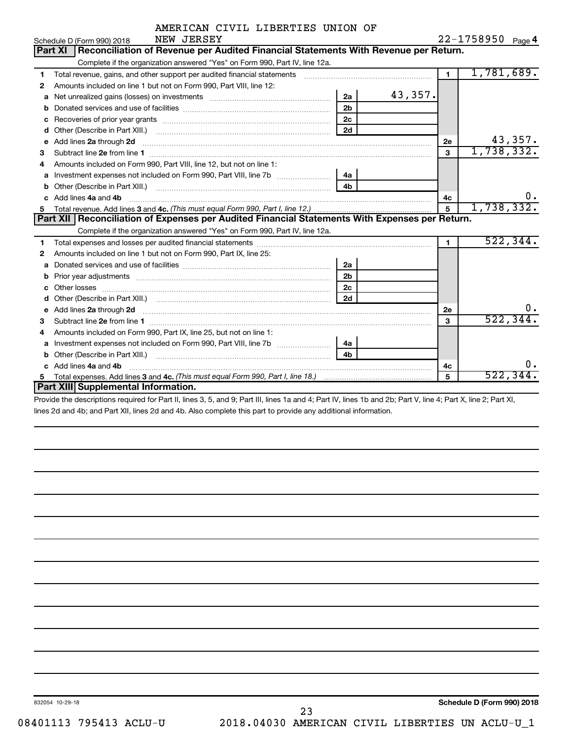|  | AMERICAN CIVIL LIBERTIES UNION OF |  |
|--|-----------------------------------|--|
|  |                                   |  |

|    | NEW JERSEY<br>Schedule D (Form 990) 2018                                                                                                                                                                                             |                |         |                | 22-1758950 Page 4 |
|----|--------------------------------------------------------------------------------------------------------------------------------------------------------------------------------------------------------------------------------------|----------------|---------|----------------|-------------------|
|    | Reconciliation of Revenue per Audited Financial Statements With Revenue per Return.<br><b>Part XI</b>                                                                                                                                |                |         |                |                   |
|    | Complete if the organization answered "Yes" on Form 990, Part IV, line 12a.                                                                                                                                                          |                |         |                |                   |
| 1  | Total revenue, gains, and other support per audited financial statements                                                                                                                                                             |                |         | $\blacksquare$ | 1,781,689.        |
| 2  | Amounts included on line 1 but not on Form 990, Part VIII, line 12:                                                                                                                                                                  |                |         |                |                   |
| a  | Net unrealized gains (losses) on investments [111] Net unrealized gains (losses) on investments [11] Martin Ma                                                                                                                       | 2a             | 43,357. |                |                   |
| b  |                                                                                                                                                                                                                                      | 2 <sub>b</sub> |         |                |                   |
| c  | Recoveries of prior year grants [111] Recoveries of prior year grants [11] Recoveries of prior year grants                                                                                                                           | 2c             |         |                |                   |
| d  | Other (Describe in Part XIII.) <b>Construction Construction</b> Chern Construction Chern Chern Chern Chern Chern Chern                                                                                                               | 2d             |         |                |                   |
| е  | Add lines 2a through 2d <b>continuum continuum contract and all the contract of the contract of the contract of the contract of the contract of the contract of the contract of the contract of the contract of the contract of </b> |                |         | 2e             | 43,357.           |
| 3  |                                                                                                                                                                                                                                      |                |         | 3              | 1,738,332.        |
| 4  | Amounts included on Form 990, Part VIII, line 12, but not on line 1:                                                                                                                                                                 |                |         |                |                   |
| a  | Investment expenses not included on Form 990, Part VIII, line 7b [11, 111, 120]                                                                                                                                                      | 4a             |         |                |                   |
| b  |                                                                                                                                                                                                                                      | 4 <sub>h</sub> |         |                |                   |
| C. | Add lines 4a and 4b                                                                                                                                                                                                                  |                |         | 4c             | υ.                |
| 5  |                                                                                                                                                                                                                                      |                |         | 5              | 1,738,332.        |
|    | Part XII   Reconciliation of Expenses per Audited Financial Statements With Expenses per Return.                                                                                                                                     |                |         |                |                   |
|    | Complete if the organization answered "Yes" on Form 990, Part IV, line 12a.                                                                                                                                                          |                |         |                |                   |
| 1  |                                                                                                                                                                                                                                      |                |         | $\blacksquare$ | 522, 344.         |
| 2  | Amounts included on line 1 but not on Form 990, Part IX, line 25:                                                                                                                                                                    |                |         |                |                   |
| a  |                                                                                                                                                                                                                                      | 2a             |         |                |                   |
| b  |                                                                                                                                                                                                                                      | 2 <sub>b</sub> |         |                |                   |
| c  |                                                                                                                                                                                                                                      | 2 <sub>c</sub> |         |                |                   |
| d  |                                                                                                                                                                                                                                      | 2d             |         |                |                   |
| e  | Add lines 2a through 2d <b>must be a constructed as the constant of the construction of the construction</b> and the construction of the construction of the construction of the construction of the construction of the constructi  |                |         | 2e             | ο.                |
| 3  |                                                                                                                                                                                                                                      |                |         | 3              | 522, 344          |
| 4  | Amounts included on Form 990, Part IX, line 25, but not on line 1:                                                                                                                                                                   |                |         |                |                   |
| a  |                                                                                                                                                                                                                                      | 4a l           |         |                |                   |
| b  |                                                                                                                                                                                                                                      | 4 <sub>h</sub> |         |                |                   |
|    | c Add lines 4a and 4b                                                                                                                                                                                                                |                |         | 4с             | υ.                |
|    |                                                                                                                                                                                                                                      |                |         | 5              | 522,344           |
|    | Part XIII Supplemental Information.                                                                                                                                                                                                  |                |         |                |                   |
|    |                                                                                                                                                                                                                                      |                |         |                |                   |

Provide the descriptions required for Part II, lines 3, 5, and 9; Part III, lines 1a and 4; Part IV, lines 1b and 2b; Part V, line 4; Part X, line 2; Part XI, lines 2d and 4b; and Part XII, lines 2d and 4b. Also complete this part to provide any additional information.

23

832054 10-29-18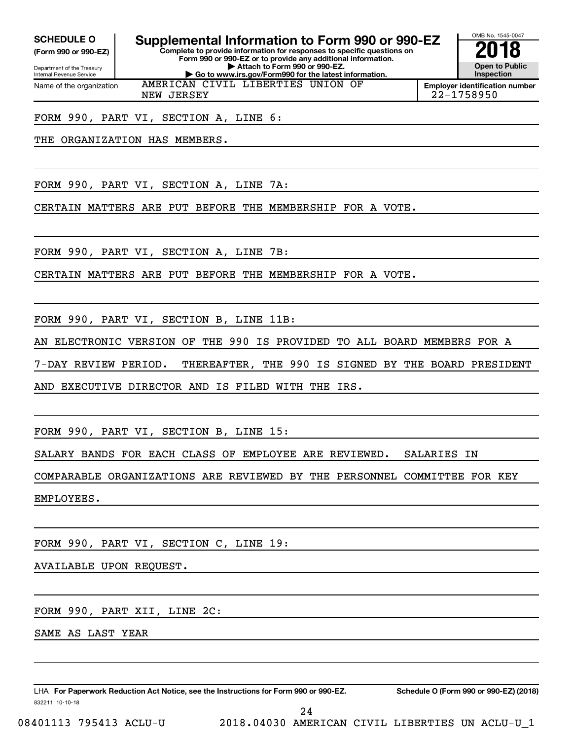**(Form 990 or 990-EZ)**

Department of the Treasury Internal Revenue Service Name of the organization

# SCHEDULE O **Supplemental Information to Form 990 or 990-EZ 2018**<br>(Form 990 or 990-EZ) **2018**

**Complete to provide information for responses to specific questions on Form 990 or 990-EZ or to provide any additional information. | Attach to Form 990 or 990-EZ. | Go to www.irs.gov/Form990 for the latest information.** AMERICAN CIVIL LIBERTIES UNION OF



**Employer identification number** NEW JERSEY 22-1758950

FORM 990, PART VI, SECTION A, LINE 6:

THE ORGANIZATION HAS MEMBERS.

FORM 990, PART VI, SECTION A, LINE 7A:

CERTAIN MATTERS ARE PUT BEFORE THE MEMBERSHIP FOR A VOTE.

FORM 990, PART VI, SECTION A, LINE 7B:

CERTAIN MATTERS ARE PUT BEFORE THE MEMBERSHIP FOR A VOTE.

FORM 990, PART VI, SECTION B, LINE 11B:

AN ELECTRONIC VERSION OF THE 990 IS PROVIDED TO ALL BOARD MEMBERS FOR A

7-DAY REVIEW PERIOD. THEREAFTER, THE 990 IS SIGNED BY THE BOARD PRESIDENT

AND EXECUTIVE DIRECTOR AND IS FILED WITH THE IRS.

FORM 990, PART VI, SECTION B, LINE 15:

SALARY BANDS FOR EACH CLASS OF EMPLOYEE ARE REVIEWED. SALARIES IN

COMPARABLE ORGANIZATIONS ARE REVIEWED BY THE PERSONNEL COMMITTEE FOR KEY

EMPLOYEES.

FORM 990, PART VI, SECTION C, LINE 19:

AVAILABLE UPON REQUEST.

FORM 990, PART XII, LINE 2C:

SAME AS LAST YEAR

832211 10-10-18 LHA For Paperwork Reduction Act Notice, see the Instructions for Form 990 or 990-EZ. Schedule O (Form 990 or 990-EZ) (2018)

08401113 795413 ACLU-U 2018.04030 AMERICAN CIVIL LIBERTIES UN ACLU-U\_1 24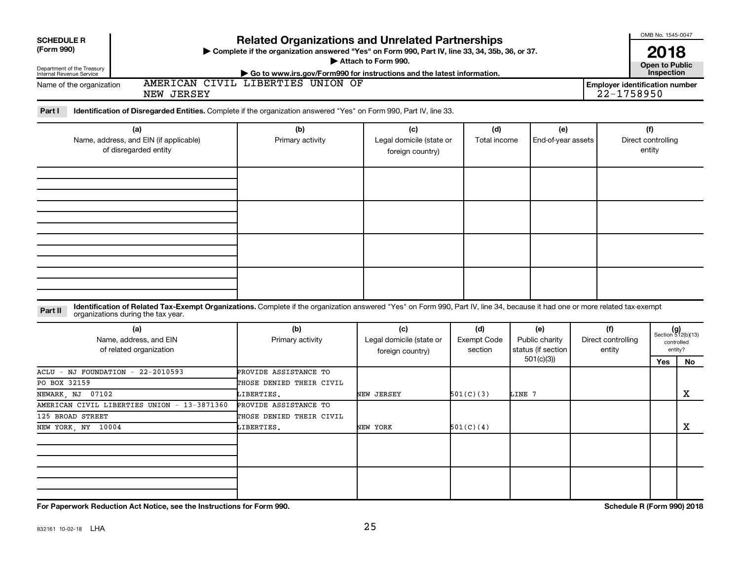| <b>SCHEDULE R</b>                                                                                                                                                                       |                                                                                                                                                             |                          |                               |                    |  |                                                     | OMB No. 1545-0047  |                             |  |
|-----------------------------------------------------------------------------------------------------------------------------------------------------------------------------------------|-------------------------------------------------------------------------------------------------------------------------------------------------------------|--------------------------|-------------------------------|--------------------|--|-----------------------------------------------------|--------------------|-----------------------------|--|
| (Form 990)                                                                                                                                                                              | <b>Related Organizations and Unrelated Partnerships</b><br>> Complete if the organization answered "Yes" on Form 990, Part IV, line 33, 34, 35b, 36, or 37. |                          |                               |                    |  |                                                     |                    |                             |  |
| Department of the Treasury                                                                                                                                                              |                                                                                                                                                             |                          | 2018<br><b>Open to Public</b> |                    |  |                                                     |                    |                             |  |
| Internal Revenue Service                                                                                                                                                                | Go to www.irs.gov/Form990 for instructions and the latest information.<br>AMERICAN CIVIL LIBERTIES UNION OF                                                 |                          |                               |                    |  |                                                     | Inspection         |                             |  |
| Name of the organization<br>NEW JERSEY                                                                                                                                                  |                                                                                                                                                             |                          |                               |                    |  | <b>Employer identification number</b><br>22-1758950 |                    |                             |  |
|                                                                                                                                                                                         |                                                                                                                                                             |                          |                               |                    |  |                                                     |                    |                             |  |
| Identification of Disregarded Entities. Complete if the organization answered "Yes" on Form 990, Part IV, line 33.<br>Part I                                                            |                                                                                                                                                             |                          |                               |                    |  |                                                     |                    |                             |  |
| (a)                                                                                                                                                                                     | (b)                                                                                                                                                         | (c)                      | (d)                           | (e)                |  |                                                     | (f)                |                             |  |
| Name, address, and EIN (if applicable)                                                                                                                                                  | Primary activity                                                                                                                                            | Legal domicile (state or | Total income                  | End-of-year assets |  |                                                     | Direct controlling |                             |  |
| of disregarded entity                                                                                                                                                                   |                                                                                                                                                             | foreign country)         |                               |                    |  |                                                     | entity             |                             |  |
|                                                                                                                                                                                         |                                                                                                                                                             |                          |                               |                    |  |                                                     |                    |                             |  |
|                                                                                                                                                                                         |                                                                                                                                                             |                          |                               |                    |  |                                                     |                    |                             |  |
|                                                                                                                                                                                         |                                                                                                                                                             |                          |                               |                    |  |                                                     |                    |                             |  |
|                                                                                                                                                                                         |                                                                                                                                                             |                          |                               |                    |  |                                                     |                    |                             |  |
|                                                                                                                                                                                         |                                                                                                                                                             |                          |                               |                    |  |                                                     |                    |                             |  |
|                                                                                                                                                                                         |                                                                                                                                                             |                          |                               |                    |  |                                                     |                    |                             |  |
|                                                                                                                                                                                         |                                                                                                                                                             |                          |                               |                    |  |                                                     |                    |                             |  |
|                                                                                                                                                                                         |                                                                                                                                                             |                          |                               |                    |  |                                                     |                    |                             |  |
|                                                                                                                                                                                         |                                                                                                                                                             |                          |                               |                    |  |                                                     |                    |                             |  |
|                                                                                                                                                                                         |                                                                                                                                                             |                          |                               |                    |  |                                                     |                    |                             |  |
|                                                                                                                                                                                         |                                                                                                                                                             |                          |                               |                    |  |                                                     |                    |                             |  |
|                                                                                                                                                                                         |                                                                                                                                                             |                          |                               |                    |  |                                                     |                    |                             |  |
| Identification of Related Tax-Exempt Organizations. Complete if the organization answered "Yes" on Form 990, Part IV, line 34, because it had one or more related tax-exempt<br>Part II |                                                                                                                                                             |                          |                               |                    |  |                                                     |                    |                             |  |
| organizations during the tax year.                                                                                                                                                      |                                                                                                                                                             |                          |                               |                    |  |                                                     |                    |                             |  |
| (a)                                                                                                                                                                                     | (b)                                                                                                                                                         | (c)                      | (d)                           | (e)                |  | (f)                                                 |                    | $(g)$<br>Section 512(b)(13) |  |
| Name, address, and EIN                                                                                                                                                                  | Primary activity                                                                                                                                            | Legal domicile (state or | <b>Exempt Code</b>            | Public charity     |  | Direct controlling                                  |                    | controlled                  |  |
| of related organization                                                                                                                                                                 |                                                                                                                                                             | foreign country)         | section                       | status (if section |  | entity                                              |                    | entity?                     |  |
|                                                                                                                                                                                         |                                                                                                                                                             |                          |                               | 501(c)(3)          |  |                                                     | <b>Yes</b>         | No                          |  |
| ACLU<br>$-$ NJ FOUNDATION $-$ 22-2010593                                                                                                                                                | PROVIDE ASSISTANCE TO                                                                                                                                       |                          |                               |                    |  |                                                     |                    |                             |  |
| PO BOX 32159                                                                                                                                                                            | THOSE DENIED THEIR CIVIL                                                                                                                                    |                          |                               |                    |  |                                                     |                    | $\mathbf X$                 |  |
| NEWARK, NJ 07102<br>AMERICAN CIVIL LIBERTIES UNION - 13-3871360                                                                                                                         | LIBERTIES.<br>PROVIDE ASSISTANCE TO                                                                                                                         | NEW JERSEY               | 501(C)(3)                     | LINE 7             |  |                                                     |                    |                             |  |
| 125 BROAD STREET                                                                                                                                                                        | THOSE DENIED THEIR CIVIL                                                                                                                                    |                          |                               |                    |  |                                                     |                    |                             |  |
| NEW YORK, NY 10004                                                                                                                                                                      | LIBERTIES.                                                                                                                                                  | NEW YORK                 | 501(C)(4)                     |                    |  |                                                     |                    | x                           |  |
|                                                                                                                                                                                         |                                                                                                                                                             |                          |                               |                    |  |                                                     |                    |                             |  |
|                                                                                                                                                                                         |                                                                                                                                                             |                          |                               |                    |  |                                                     |                    |                             |  |
|                                                                                                                                                                                         |                                                                                                                                                             |                          |                               |                    |  |                                                     |                    |                             |  |
|                                                                                                                                                                                         |                                                                                                                                                             |                          |                               |                    |  |                                                     |                    |                             |  |
|                                                                                                                                                                                         |                                                                                                                                                             |                          |                               |                    |  |                                                     |                    |                             |  |
|                                                                                                                                                                                         |                                                                                                                                                             |                          |                               |                    |  |                                                     |                    |                             |  |

**For Paperwork Reduction Act Notice, see the Instructions for Form 990. Schedule R (Form 990) 2018**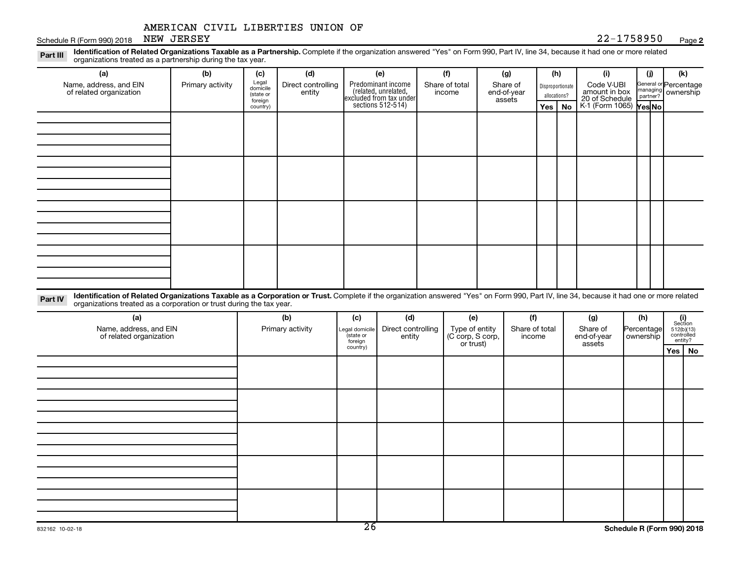country)

Schedule R (Form 990) 2018 NEW JERSEY Page 22-1758950 Page

#### **2**

**Yes No Yes No** K-1 (Form 1065)

Disproportionate allocations? Legal domicile (state or foreign General or Percentage managing partner? Part III Identification of Related Organizations Taxable as a Partnership. Complete if the organization answered "Yes" on Form 990, Part IV, line 34, because it had one or more related<br>Read to the organizations tracted as **(a) (b) (c) (d) (e) (f) (g) (h) (i) (j) (k)** Predominant income (related, unrelated, excluded from tax under organizations treated as a partnership during the tax year. Name, address, and EIN of related organization Primary activity  $\left| \begin{array}{c} \text{Legal} \\ \text{domicile} \end{array} \right|$  Direct controlling entity Share of total income Share of end-of-year assets Code V-UBI amount in box 20 of Schedule ownership

sections 512-514)

| Identification of Related Organizations Taxable as a Corporation or Trust. Complete if the organization answered "Yes" on Form 990, Part IV, line 34, because it had one or more related<br>Part IV<br>organizations treated as a corporation or trust during the tax year. |  |  |  |  |  |  |  |  |  |  |  |
|-----------------------------------------------------------------------------------------------------------------------------------------------------------------------------------------------------------------------------------------------------------------------------|--|--|--|--|--|--|--|--|--|--|--|
|                                                                                                                                                                                                                                                                             |  |  |  |  |  |  |  |  |  |  |  |

| (a)<br>Name, address, and EIN<br>of related organization | (b)<br>Primary activity | (c)<br>Legal domicile<br>(state or<br>foreign | (d)<br>Direct controlling<br>entity | (e)<br>Type of entity<br>(C corp, S corp,<br>or trust) | (f)<br>Share of total<br>income | (g)<br>Share of<br>end-of-year<br>assets | (h)<br>Percentage<br>ownership | $\begin{array}{c} \textbf{(i)}\\ \text{Section}\\ 512 \text{(b)} \text{(13)}\\ \text{controlled}\end{array}$ | entity?  |
|----------------------------------------------------------|-------------------------|-----------------------------------------------|-------------------------------------|--------------------------------------------------------|---------------------------------|------------------------------------------|--------------------------------|--------------------------------------------------------------------------------------------------------------|----------|
|                                                          |                         | country)                                      |                                     |                                                        |                                 |                                          |                                |                                                                                                              | Yes   No |
|                                                          |                         |                                               |                                     |                                                        |                                 |                                          |                                |                                                                                                              |          |
|                                                          |                         |                                               |                                     |                                                        |                                 |                                          |                                |                                                                                                              |          |
|                                                          |                         |                                               |                                     |                                                        |                                 |                                          |                                |                                                                                                              |          |
|                                                          |                         |                                               |                                     |                                                        |                                 |                                          |                                |                                                                                                              |          |
|                                                          |                         |                                               |                                     |                                                        |                                 |                                          |                                |                                                                                                              |          |
|                                                          |                         |                                               |                                     |                                                        |                                 |                                          |                                |                                                                                                              |          |
|                                                          |                         |                                               |                                     |                                                        |                                 |                                          |                                |                                                                                                              |          |
|                                                          |                         |                                               |                                     |                                                        |                                 |                                          |                                |                                                                                                              |          |
|                                                          |                         |                                               |                                     |                                                        |                                 |                                          |                                |                                                                                                              |          |
|                                                          |                         |                                               |                                     |                                                        |                                 |                                          |                                |                                                                                                              |          |
|                                                          |                         |                                               |                                     |                                                        |                                 |                                          |                                |                                                                                                              |          |
|                                                          |                         |                                               |                                     |                                                        |                                 |                                          |                                |                                                                                                              |          |
|                                                          |                         |                                               |                                     |                                                        |                                 |                                          |                                |                                                                                                              |          |
|                                                          |                         |                                               |                                     |                                                        |                                 |                                          |                                |                                                                                                              |          |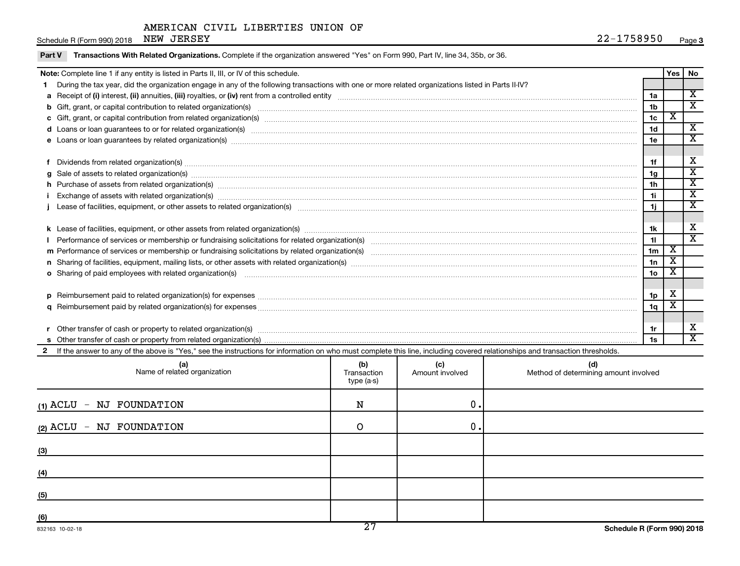| Schedule R (Form 990) 2018 NEW JERSEY                                                                                                                                                                                          | 22-1758950      | Page 3                  |                         |
|--------------------------------------------------------------------------------------------------------------------------------------------------------------------------------------------------------------------------------|-----------------|-------------------------|-------------------------|
| Transactions With Related Organizations. Complete if the organization answered "Yes" on Form 990, Part IV, line 34, 35b, or 36.<br>Part V                                                                                      |                 |                         |                         |
| <b>Note:</b> Complete line 1 if any entity is listed in Parts II, III, or IV of this schedule.                                                                                                                                 |                 | Yes<br>No               |                         |
| During the tax year, did the organization engage in any of the following transactions with one or more related organizations listed in Parts II-IV?                                                                            |                 |                         |                         |
|                                                                                                                                                                                                                                | 1a              | $\overline{\mathbf{x}}$ |                         |
|                                                                                                                                                                                                                                | 1 <sub>b</sub>  |                         | $\overline{\mathbf{x}}$ |
| c Gift, grant, or capital contribution from related organization(s) manufaction content to content the content of the contribution from related organization(s) manufaction content to content the content of the content of t | 1c              | $\overline{\textbf{X}}$ |                         |
| d Loans or loan guarantees to or for related organization(s) www.communically.com/www.communically.com/www.communically.com/www.communically.com/www.communically.com/www.communically.com/www.communically.com/www.communical | 1 <sub>d</sub>  |                         | X                       |
|                                                                                                                                                                                                                                | 1e              | $\overline{\mathbf{x}}$ |                         |
|                                                                                                                                                                                                                                |                 |                         |                         |
| f Dividends from related organization(s) machinesis and contract the contract of the contract of the contract of the contract of the contract of the contract of the contract of the contract of the contract of the contract  | 1f              | х                       |                         |
| g Sale of assets to related organization(s) manufactured assemblance contract to the contract of the contract or contract of the contract or contract or Sale of assets to related organization(s) manufactured assets to rela | 1 <sub>g</sub>  | $\overline{\texttt{x}}$ |                         |
| h Purchase of assets from related organization(s) manufactured and content to content the content of assets from related organization(s)                                                                                       | 1 <sub>h</sub>  |                         | X                       |
|                                                                                                                                                                                                                                | 11              | $\overline{\texttt{x}}$ |                         |
|                                                                                                                                                                                                                                | 1j.             |                         | $\overline{\mathbf{x}}$ |
|                                                                                                                                                                                                                                | 1k              | х                       |                         |
|                                                                                                                                                                                                                                | 11              |                         | $\overline{\mathbf{x}}$ |
|                                                                                                                                                                                                                                | 1 <sub>m</sub>  | X                       |                         |
|                                                                                                                                                                                                                                | 1n              | $\overline{\textbf{X}}$ |                         |
|                                                                                                                                                                                                                                | 10 <sub>o</sub> | х                       |                         |
|                                                                                                                                                                                                                                |                 |                         |                         |
|                                                                                                                                                                                                                                | 1p              | Х                       |                         |
|                                                                                                                                                                                                                                | 1q              | X                       |                         |
|                                                                                                                                                                                                                                |                 |                         |                         |
|                                                                                                                                                                                                                                | 1r              | х                       |                         |
| s Other transfer of cash or property from related organization(s)                                                                                                                                                              | 1s              | $\overline{\texttt{x}}$ |                         |

**s** Other transfer of cash or property from related organization(s)

2 If the answer to any of the above is "Yes," see the instructions for information on who must complete this line, including covered relationships and transaction thresholds.

| (a)<br>Name of related organization | (b)<br>Transaction<br>type (a-s) | (c)<br>Amount involved | (d)<br>Method of determining amount involved |
|-------------------------------------|----------------------------------|------------------------|----------------------------------------------|
| (1) ACLU - NJ FOUNDATION            | N                                | 0.                     |                                              |
| - NJ FOUNDATION<br>(2) ACLU         | ∩                                | 0.                     |                                              |
| (3)                                 |                                  |                        |                                              |
| (4)                                 |                                  |                        |                                              |
| (5)                                 |                                  |                        |                                              |
| (6)                                 | $\overline{\phantom{a}}$         |                        |                                              |

**1s**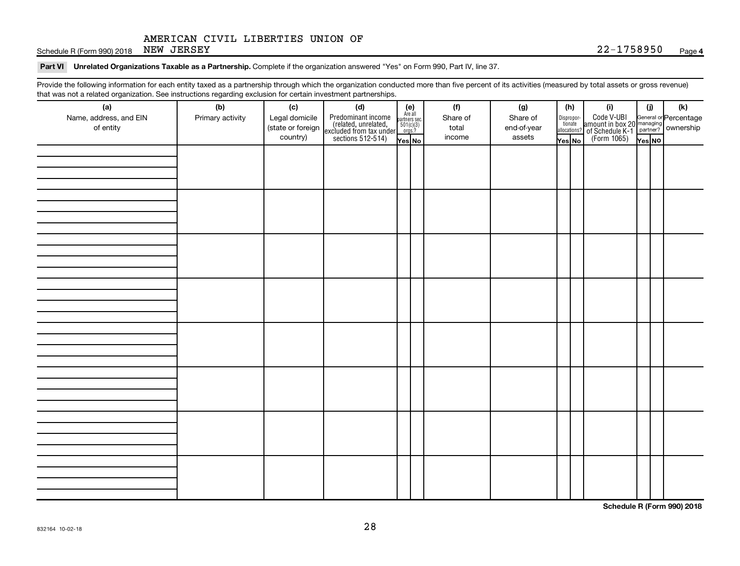Schedule R (Form 990) 2018 NEW JERSEY Page 22-1758950 Page

#### Part VI Unrelated Organizations Taxable as a Partnership. Complete if the organization answered "Yes" on Form 990, Part IV, line 37.

Provide the following information for each entity taxed as a partnership through which the organization conducted more than five percent of its activities (measured by total assets or gross revenue) that was not a related organization. See instructions regarding exclusion for certain investment partnerships.

| mat mac not a rolated organization. Oce included by regarding exercision for contain invectment partneremper<br>(a)<br>Name, address, and EIN<br>of entity | (b)<br>Primary activity | (c)<br>Legal domicile<br>(state or foreign<br>country) | (d)<br>Predominant income<br>(related, unrelated,<br>excluded from tax under<br>sections 512-514) | (e)<br>Are all<br>partners sec.<br>$501(c)(3)$<br>orgs.?<br>Yes No | (f)<br>Share of<br>total<br>income | (g)<br>Share of<br>end-of-year<br>assets | (h)<br>$\fbox{\parbox{0.5cm}{\begin{tabular}{ l l } \hline Disproportion} \\ \hline \text{tion} \\ \hline allocations? \\ \hline \end{tabular}}$<br>Yes No | (i)<br>Code V-UBI<br>amount in box 20 managing<br>of Schedule K-1<br>(Form 1065)<br>$\overline{Y_{\text{res}}}\overline{NQ}$ | (i)<br>Yes NO | (k) |
|------------------------------------------------------------------------------------------------------------------------------------------------------------|-------------------------|--------------------------------------------------------|---------------------------------------------------------------------------------------------------|--------------------------------------------------------------------|------------------------------------|------------------------------------------|------------------------------------------------------------------------------------------------------------------------------------------------------------|------------------------------------------------------------------------------------------------------------------------------|---------------|-----|
|                                                                                                                                                            |                         |                                                        |                                                                                                   |                                                                    |                                    |                                          |                                                                                                                                                            |                                                                                                                              |               |     |
|                                                                                                                                                            |                         |                                                        |                                                                                                   |                                                                    |                                    |                                          |                                                                                                                                                            |                                                                                                                              |               |     |
|                                                                                                                                                            |                         |                                                        |                                                                                                   |                                                                    |                                    |                                          |                                                                                                                                                            |                                                                                                                              |               |     |
|                                                                                                                                                            |                         |                                                        |                                                                                                   |                                                                    |                                    |                                          |                                                                                                                                                            |                                                                                                                              |               |     |
|                                                                                                                                                            |                         |                                                        |                                                                                                   |                                                                    |                                    |                                          |                                                                                                                                                            |                                                                                                                              |               |     |
|                                                                                                                                                            |                         |                                                        |                                                                                                   |                                                                    |                                    |                                          |                                                                                                                                                            |                                                                                                                              |               |     |
|                                                                                                                                                            |                         |                                                        |                                                                                                   |                                                                    |                                    |                                          |                                                                                                                                                            |                                                                                                                              |               |     |
|                                                                                                                                                            |                         |                                                        |                                                                                                   |                                                                    |                                    |                                          |                                                                                                                                                            |                                                                                                                              |               |     |

**Schedule R (Form 990) 2018**